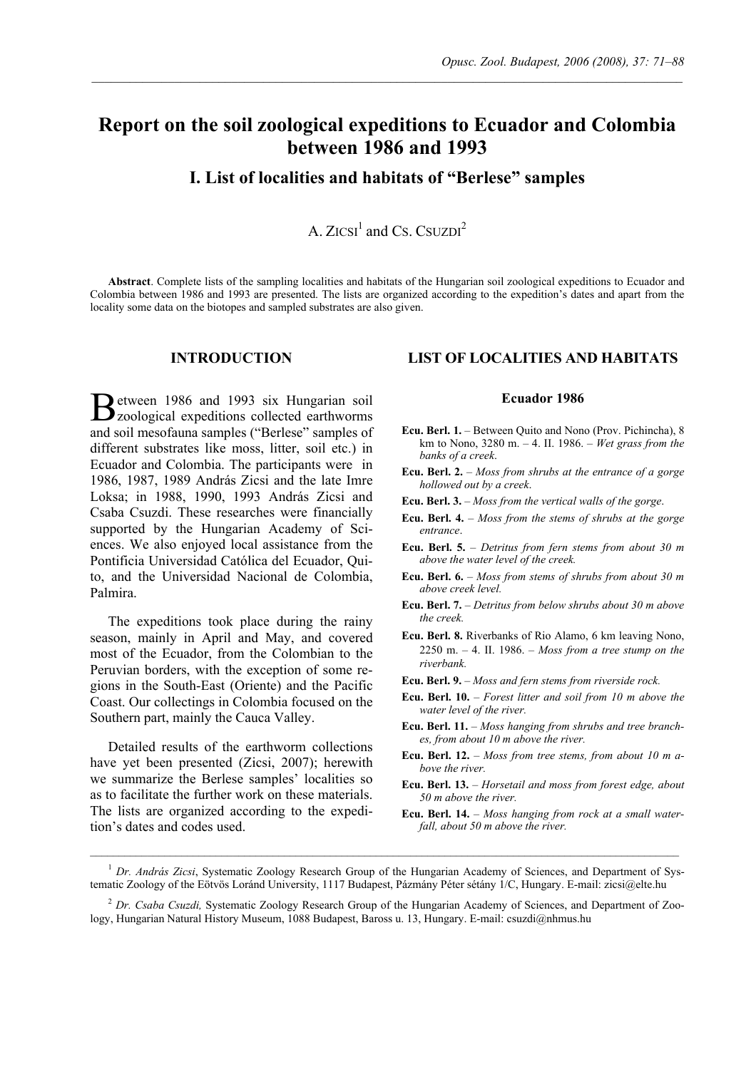# **Report on the soil zoological expeditions to Ecuador and Colombia between 1986 and 1993**

 $\mathcal{L}_\mathcal{L} = \mathcal{L}_\mathcal{L}$ 

**I. List of localities and habitats of "Berlese" samples** 

A.  $ZICSI<sup>1</sup>$  and Cs. CSUZDI<sup>2</sup>

**Abstract**. Complete lists of the sampling localities and habitats of the Hungarian soil zoological expeditions to Ecuador and Colombia between 1986 and 1993 are presented. The lists are organized according to the expedition's dates and apart from the locality some data on the biotopes and sampled substrates are also given.

# **INTRODUCTION**

etween 1986 and 1993 six Hungarian soil Between 1986 and 1993 six Hungarian soil<br>
zoological expeditions collected earthworms and soil mesofauna samples ("Berlese" samples of different substrates like moss, litter, soil etc.) in Ecuador and Colombia. The participants were in 1986, 1987, 1989 András Zicsi and the late Imre Loksa; in 1988, 1990, 1993 András Zicsi and Csaba Csuzdi. These researches were financially supported by the Hungarian Academy of Sciences. We also enjoyed local assistance from the Pontificia Universidad Católica del Ecuador, Quito, and the Universidad Nacional de Colombia, Palmira.

The expeditions took place during the rainy season, mainly in April and May, and covered most of the Ecuador, from the Colombian to the Peruvian borders, with the exception of some regions in the South-East (Oriente) and the Pacific Coast. Our collectings in Colombia focused on the Southern part, mainly the Cauca Valley.

Detailed results of the earthworm collections have yet been presented (Zicsi, 2007); herewith we summarize the Berlese samples' localities so as to facilitate the further work on these materials. The lists are organized according to the expedition's dates and codes used.

# **LIST OF LOCALITIES AND HABITATS**

- **Ecu. Berl. 1.** Between Quito and Nono (Prov. Pichincha), 8 km to Nono, 3280 m. – 4. II. 1986. – *Wet grass from the banks of a creek*.
- **Ecu. Berl. 2.**  *Moss from shrubs at the entrance of a gorge hollowed out by a creek*.
- **Ecu. Berl. 3.** *Moss from the vertical walls of the gorge*.
- **Ecu. Berl. 4.** *Moss from the stems of shrubs at the gorge entrance*.
- **Ecu. Berl. 5.** *Detritus from fern stems from about 30 m above the water level of the creek.*
- **Ecu. Berl. 6.** *Moss from stems of shrubs from about 30 m above creek level.*
- **Ecu. Berl. 7.** *Detritus from below shrubs about 30 m above the creek.*
- **Ecu. Berl. 8.** Riverbanks of Rio Alamo, 6 km leaving Nono, 2250 m. – 4. II. 1986. – *Moss from a tree stump on the riverbank.*
- **Ecu. Berl. 9.** *Moss and fern stems from riverside rock.*
- **Ecu. Berl. 10.** *Forest litter and soil from 10 m above the water level of the river.*
- **Ecu. Berl. 11.**  *Moss hanging from shrubs and tree branches, from about 10 m above the river.*
- **Ecu. Berl. 12.**  *Moss from tree stems, from about 10 m above the river.*
- **Ecu. Berl. 13.** *Horsetail and moss from forest edge, about 50 m above the river.*
- **Ecu. Berl. 14.** *Moss hanging from rock at a small waterfall, about 50 m above the river.*

<sup>&</sup>lt;sup>1</sup> Dr. András Zicsi, Systematic Zoology Research Group of the Hungarian Academy of Sciences, and Department of Systematic Zoology of the Eötvös Loránd University, 1117 Budapest, Pázmány Péter sétány 1/C, Hungary. E-mail: zicsi@elte.hu

<sup>&</sup>lt;sup>2</sup> Dr. Csaba Csuzdi, Systematic Zoology Research Group of the Hungarian Academy of Sciences, and Department of Zoology, Hungarian Natural History Museum, 1088 Budapest, Baross u. 13, Hungary. E-mail: csuzdi@nhmus.hu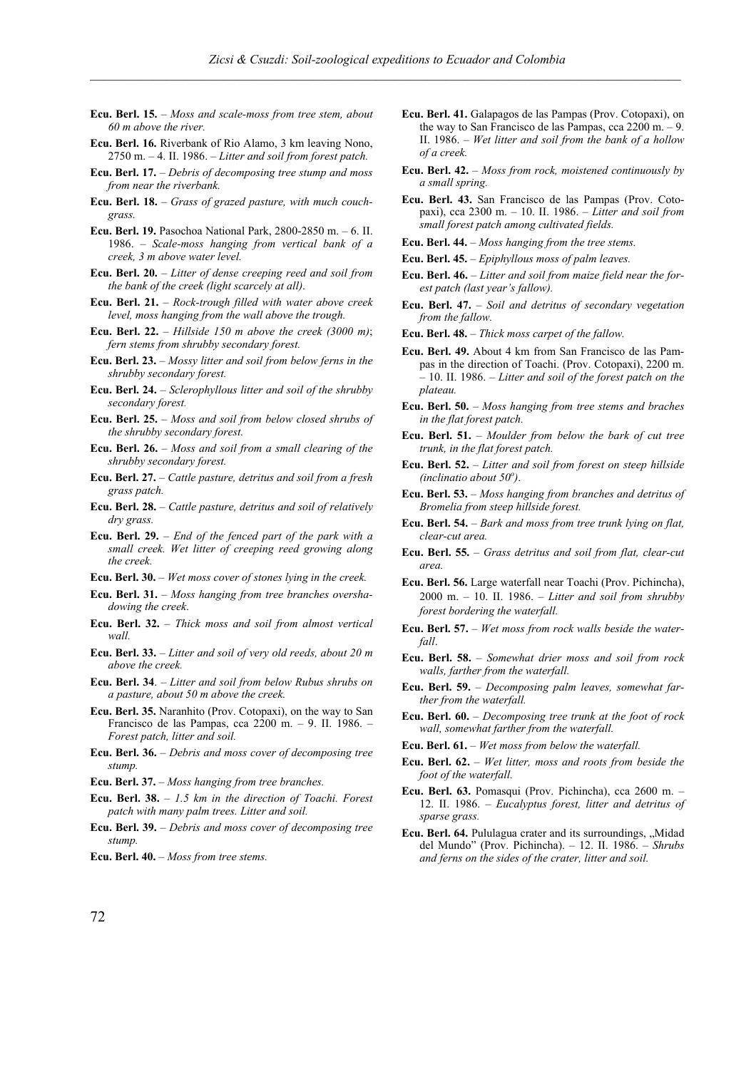- **Ecu. Berl. 15.** *Moss and scale-moss from tree stem, about 60 m above the river.*
- **Ecu. Berl. 16.** Riverbank of Rio Alamo, 3 km leaving Nono, 2750 m. – 4. II. 1986. – *Litter and soil from forest patch.*
- **Ecu. Berl. 17.** *Debris of decomposing tree stump and moss from near the riverbank.*
- **Ecu. Berl. 18.** *Grass of grazed pasture, with much couchgrass.*
- **Ecu. Berl. 19.** Pasochoa National Park, 2800-2850 m. 6. II. 1986. – *Scale-moss hanging from vertical bank of a creek, 3 m above water level.*
- **Ecu. Berl. 20.** *Litter of dense creeping reed and soil from the bank of the creek (light scarcely at all)*.
- **Ecu. Berl. 21.** *Rock-trough filled with water above creek level, moss hanging from the wall above the trough.*
- **Ecu. Berl. 22.** *Hillside 150 m above the creek (3000 m)*; *fern stems from shrubby secondary forest.*
- **Ecu. Berl. 23.** *Mossy litter and soil from below ferns in the shrubby secondary forest.*
- **Ecu. Berl. 24.** *Sclerophyllous litter and soil of the shrubby secondary forest.*
- **Ecu. Berl. 25.** *Moss and soil from below closed shrubs of the shrubby secondary forest.*
- **Ecu. Berl. 26.** *Moss and soil from a small clearing of the shrubby secondary forest.*
- **Ecu. Berl. 27.** *Cattle pasture, detritus and soil from a fresh grass patch.*
- **Ecu. Berl. 28.** *Cattle pasture, detritus and soil of relatively dry grass.*
- **Ecu. Berl. 29.** *End of the fenced part of the park with a small creek. Wet litter of creeping reed growing along the creek.*
- **Ecu. Berl. 30.** *Wet moss cover of stones lying in the creek.*
- **Ecu. Berl. 31.** *Moss hanging from tree branches overshadowing the creek*.
- **Ecu. Berl. 32.** *Thick moss and soil from almost vertical wall.*
- **Ecu. Berl. 33.** *Litter and soil of very old reeds, about 20 m above the creek.*
- **Ecu. Berl. 34**. *Litter and soil from below Rubus shrubs on a pasture, about 50 m above the creek.*
- **Ecu. Berl. 35.** Naranhito (Prov. Cotopaxi), on the way to San Francisco de las Pampas, cca 2200 m. – 9. II. 1986. – *Forest patch, litter and soil.*
- **Ecu. Berl. 36.** *Debris and moss cover of decomposing tree stump.*
- **Ecu. Berl. 37.** *Moss hanging from tree branches.*
- **Ecu. Berl. 38.** *1.5 km in the direction of Toachi. Forest patch with many palm trees. Litter and soil.*
- **Ecu. Berl. 39.** *Debris and moss cover of decomposing tree stump.*
- **Ecu. Berl. 40.**  *Moss from tree stems.*
- **Ecu. Berl. 41.** Galapagos de las Pampas (Prov. Cotopaxi), on the way to San Francisco de las Pampas, cca 2200 m. – 9. II. 1986. – *Wet litter and soil from the bank of a hollow of a creek.*
- **Ecu. Berl. 42.** *Moss from rock, moistened continuously by a small spring.*
- **Ecu. Berl. 43.** San Francisco de las Pampas (Prov. Cotopaxi), cca 2300 m. – 10. II. 1986. – *Litter and soil from small forest patch among cultivated fields.*
- **Ecu. Berl. 44.** *Moss hanging from the tree stems.*
- **Ecu. Berl. 45.** *Epiphyllous moss of palm leaves.*
- **Ecu. Berl. 46.** *Litter and soil from maize field near the forest patch (last year's fallow).*
- **Ecu. Berl. 47.** *Soil and detritus of secondary vegetation from the fallow.*
- **Ecu. Berl. 48.** *Thick moss carpet of the fallow.*
- **Ecu. Berl. 49.** About 4 km from San Francisco de las Pampas in the direction of Toachi. (Prov. Cotopaxi), 2200 m. – 10. II. 1986. – *Litter and soil of the forest patch on the plateau.*
- **Ecu. Berl. 50.** *Moss hanging from tree stems and braches in the flat forest patch.*
- **Ecu. Berl. 51.** *Moulder from below the bark of cut tree trunk, in the flat forest patch.*
- **Ecu. Berl. 52.** *Litter and soil from forest on steep hillside (inclinatio about 50o )*.
- **Ecu. Berl. 53.** *Moss hanging from branches and detritus of Bromelia from steep hillside forest.*
- **Ecu. Berl. 54.** *Bark and moss from tree trunk lying on flat, clear-cut area.*
- **Ecu. Berl. 55.** *Grass detritus and soil from flat, clear-cut area.*
- **Ecu. Berl. 56.** Large waterfall near Toachi (Prov. Pichincha), 2000 m. – 10. II. 1986. – *Litter and soil from shrubby forest bordering the waterfall.*
- **Ecu. Berl. 57.** *Wet moss from rock walls beside the waterfall*.
- **Ecu. Berl. 58.** *Somewhat drier moss and soil from rock walls, farther from the waterfall.*
- **Ecu. Berl. 59.** *Decomposing palm leaves, somewhat farther from the waterfall.*
- **Ecu. Berl. 60.** *Decomposing tree trunk at the foot of rock wall, somewhat farther from the waterfall.*
- **Ecu. Berl. 61.** *Wet moss from below the waterfall.*
- **Ecu. Berl. 62.** *Wet litter, moss and roots from beside the foot of the waterfall.*
- **Ecu. Berl. 63.** Pomasqui (Prov. Pichincha), cca 2600 m. 12. II. 1986. – *Eucalyptus forest, litter and detritus of sparse grass.*
- **Ecu. Berl. 64.** Pululagua crater and its surroundings, "Midad del Mundo" (Prov. Pichincha). – 12. II. 1986. – *Shrubs and ferns on the sides of the crater, litter and soil.*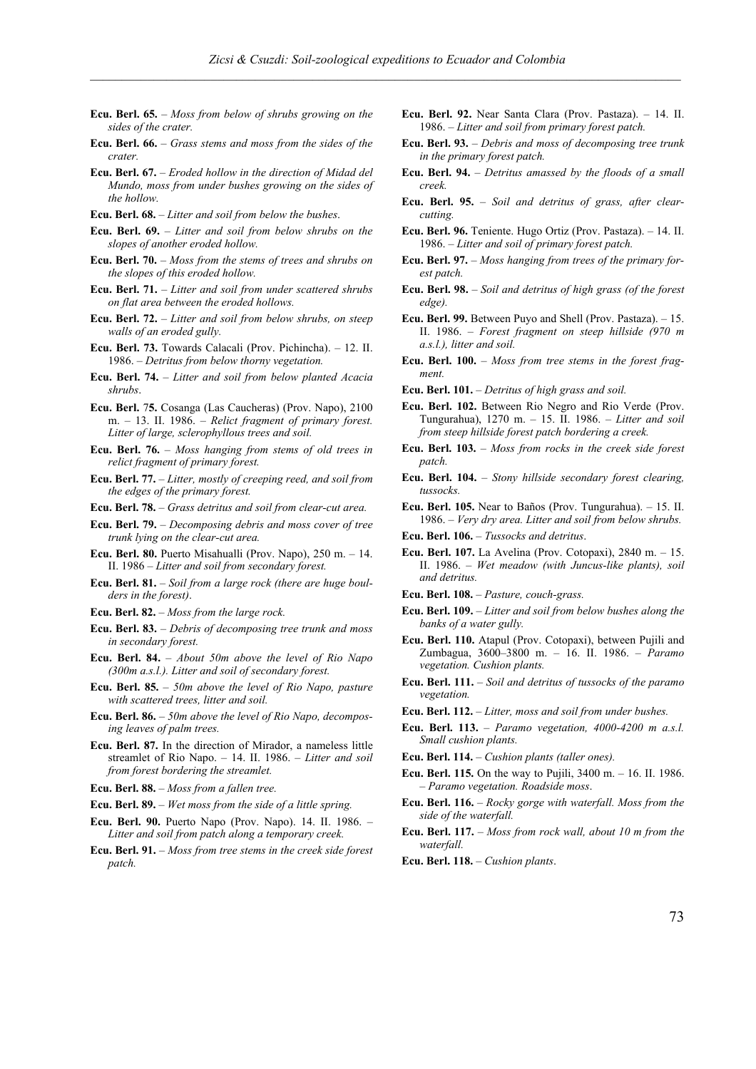- **Ecu. Berl. 65.** *Moss from below of shrubs growing on the sides of the crater.*
- **Ecu. Berl. 66.** *Grass stems and moss from the sides of the crater.*
- **Ecu. Berl. 67.** *Eroded hollow in the direction of Midad del Mundo, moss from under bushes growing on the sides of the hollow.*
- **Ecu. Berl. 68.** *Litter and soil from below the bushes*.
- **Ecu. Berl. 69.** *Litter and soil from below shrubs on the slopes of another eroded hollow.*
- **Ecu. Berl. 70.** *Moss from the stems of trees and shrubs on the slopes of this eroded hollow.*
- **Ecu. Berl. 71.** *Litter and soil from under scattered shrubs on flat area between the eroded hollows.*
- **Ecu. Berl. 72.** *Litter and soil from below shrubs, on steep walls of an eroded gully.*
- **Ecu. Berl. 73.** Towards Calacali (Prov. Pichincha). 12. II. 1986. – *Detritus from below thorny vegetation.*
- **Ecu. Berl. 74.**  *Litter and soil from below planted Acacia shrubs*.
- **Ecu. Berl.** 7**5.** Cosanga (Las Caucheras) (Prov. Napo), 2100 m. – 13. II. 1986. – *Relict fragment of primary forest. Litter of large, sclerophyllous trees and soil.*
- **Ecu. Berl. 76.** *Moss hanging from stems of old trees in relict fragment of primary forest.*
- **Ecu. Berl. 77.**  *Litter, mostly of creeping reed, and soil from the edges of the primary forest.*
- **Ecu. Berl. 78.** *Grass detritus and soil from clear-cut area.*
- **Ecu. Berl. 79.** *Decomposing debris and moss cover of tree trunk lying on the clear-cut area.*
- **Ecu. Berl. 80.** Puerto Misahualli (Prov. Napo), 250 m. 14. II. 1986 – *Litter and soil from secondary forest.*
- **Ecu. Berl. 81.** *Soil from a large rock (there are huge boulders in the forest)*.
- **Ecu. Berl. 82.** *Moss from the large rock.*
- **Ecu. Berl. 83.** *Debris of decomposing tree trunk and moss in secondary forest.*
- **Ecu. Berl. 84.** *About 50m above the level of Rio Napo (300m a.s.l.). Litter and soil of secondary forest.*
- **Ecu. Berl. 85.** *50m above the level of Rio Napo, pasture with scattered trees, litter and soil.*
- **Ecu. Berl. 86.** *50m above the level of Rio Napo, decomposing leaves of palm trees.*
- **Ecu. Berl. 87.** In the direction of Mirador, a nameless little streamlet of Rio Napo. – 14. II. 1986. – *Litter and soil from forest bordering the streamlet.*
- **Ecu. Berl. 88.** *Moss from a fallen tree.*
- **Ecu. Berl. 89.** *Wet moss from the side of a little spring.*
- **Ecu. Berl. 90.** Puerto Napo (Prov. Napo). 14. II. 1986. *Litter and soil from patch along a temporary creek.*
- **Ecu. Berl. 91.** *Moss from tree stems in the creek side forest patch.*
- **Ecu. Berl. 92.** Near Santa Clara (Prov. Pastaza). 14. II. 1986. – *Litter and soil from primary forest patch.*
- **Ecu. Berl. 93.** *Debris and moss of decomposing tree trunk in the primary forest patch.*
- **Ecu. Berl. 94.** *Detritus amassed by the floods of a small creek.*
- **Ecu. Berl. 95.** *Soil and detritus of grass, after clearcutting.*
- **Ecu. Berl. 96.** Teniente. Hugo Ortiz (Prov. Pastaza). 14. II. 1986. – *Litter and soil of primary forest patch.*
- **Ecu. Berl. 97.** *Moss hanging from trees of the primary forest patch.*
- **Ecu. Berl. 98.** *Soil and detritus of high grass (of the forest edge).*
- **Ecu. Berl. 99.** Between Puyo and Shell (Prov. Pastaza). 15. II. 1986. – *Forest fragment on steep hillside (970 m a.s.l.), litter and soil.*
- **Ecu. Berl. 100.** *Moss from tree stems in the forest fragment.*
- **Ecu. Berl. 101.** *Detritus of high grass and soil.*
- **Ecu. Berl. 102.** Between Rio Negro and Rio Verde (Prov. Tungurahua), 1270 m. – 15. II. 1986. – *Litter and soil from steep hillside forest patch bordering a creek.*
- **Ecu. Berl. 103.** *Moss from rocks in the creek side forest patch.*
- **Ecu. Berl. 104.** *Stony hillside secondary forest clearing, tussocks.*
- **Ecu. Berl. 105.** Near to Baños (Prov. Tungurahua). 15. II. 1986. – *Very dry area. Litter and soil from below shrubs.*
- **Ecu. Berl. 106.** *Tussocks and detritus*.
- **Ecu. Berl. 107.** La Avelina (Prov. Cotopaxi), 2840 m. 15. II. 1986. – *Wet meadow (with Juncus-like plants), soil and detritus.*
- **Ecu. Berl. 108.** *Pasture, couch-grass.*
- **Ecu. Berl. 109.**  *Litter and soil from below bushes along the banks of a water gully.*
- **Ecu. Berl. 110.** Atapul (Prov. Cotopaxi), between Pujili and Zumbagua, 3600–3800 m. – 16. II. 1986. – *Paramo vegetation. Cushion plants.*
- **Ecu. Berl. 111.**  *Soil and detritus of tussocks of the paramo vegetation.*
- **Ecu. Berl. 112.** *Litter, moss and soil from under bushes.*
- **Ecu. Berl. 113.** *Paramo vegetation, 4000-4200 m a.s.l. Small cushion plants.*
- **Ecu. Berl. 114.** – *Cushion plants (taller ones).*
- **Ecu. Berl. 115.** On the way to Pujili, 3400 m. 16. II. 1986. – *Paramo vegetation. Roadside moss*.
- **Ecu. Berl. 116.** *Rocky gorge with waterfall. Moss from the side of the waterfall.*
- **Ecu. Berl. 117.** *Moss from rock wall, about 10 m from the waterfall.*
- **Ecu. Berl. 118.** *Cushion plants*.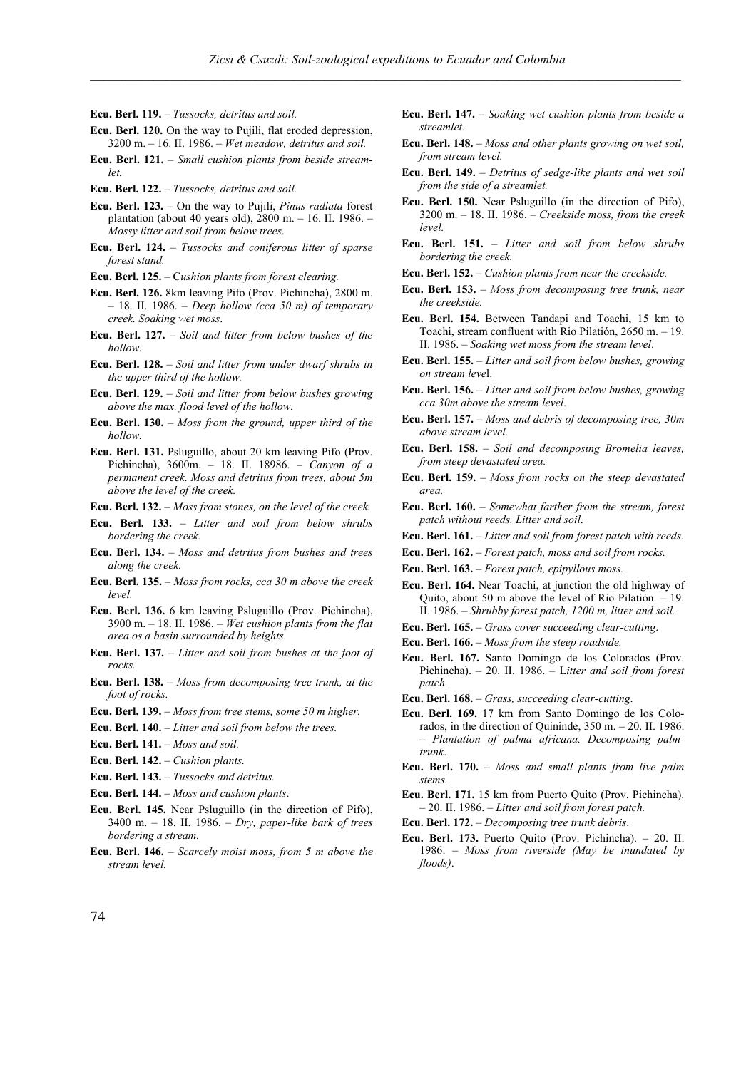- **Ecu. Berl. 119.** *Tussocks, detritus and soil.*
- **Ecu. Berl. 120.** On the way to Pujili, flat eroded depression, 3200 m. – 16. II. 1986. – *Wet meadow, detritus and soil.*
- **Ecu. Berl. 121.** *Small cushion plants from beside streamlet.*
- **Ecu. Berl. 122.** *Tussocks, detritus and soil.*
- **Ecu. Berl. 123.** On the way to Pujili, *Pinus radiata* forest plantation (about 40 years old), 2800 m. – 16. II. 1986. – *Mossy litter and soil from below trees*.
- **Ecu. Berl. 124.** *Tussocks and coniferous litter of sparse forest stand.*
- **Ecu. Berl. 125.** C*ushion plants from forest clearing.*
- **Ecu. Berl. 126.** 8km leaving Pifo (Prov. Pichincha), 2800 m. – 18. II. 1986. – *Deep hollow (cca 50 m) of temporary creek. Soaking wet moss*.
- **Ecu. Berl. 127.** *Soil and litter from below bushes of the hollow.*
- **Ecu. Berl. 128.**  *Soil and litter from under dwarf shrubs in the upper third of the hollow.*
- **Ecu. Berl. 129.** *Soil and litter from below bushes growing above the max. flood level of the hollow.*
- **Ecu. Berl. 130.** *Moss from the ground, upper third of the hollow.*
- **Ecu. Berl. 131.** Psluguillo, about 20 km leaving Pifo (Prov. Pichincha), 3600m. – 18. II. 18986. – *Canyon of a permanent creek. Moss and detritus from trees, about 5m above the level of the creek.*
- **Ecu. Berl. 132.** *Moss from stones, on the level of the creek.*
- **Ecu. Berl. 133.**  *Litter and soil from below shrubs bordering the creek.*
- **Ecu. Berl. 134.** *Moss and detritus from bushes and trees along the creek.*
- **Ecu. Berl. 135.**  *Moss from rocks, cca 30 m above the creek level.*
- **Ecu. Berl. 136.** 6 km leaving Psluguillo (Prov. Pichincha), 3900 m. – 18. II. 1986. – *Wet cushion plants from the flat area os a basin surrounded by heights.*
- **Ecu. Berl. 137.** *Litter and soil from bushes at the foot of rocks.*
- **Ecu. Berl. 138.**  *Moss from decomposing tree trunk, at the foot of rocks.*
- **Ecu. Berl. 139.** *Moss from tree stems, some 50 m higher.*
- **Ecu. Berl. 140.** *Litter and soil from below the trees.*
- **Ecu. Berl. 141.** *Moss and soil.*
- **Ecu. Berl. 142.** *Cushion plants.*
- **Ecu. Berl. 143.** *Tussocks and detritus.*
- **Ecu. Berl. 144.** *Moss and cushion plants*.
- **Ecu. Berl. 145.** Near Psluguillo (in the direction of Pifo), 3400 m. – 18. II. 1986. – *Dry, paper-like bark of trees bordering a stream.*
- **Ecu. Berl. 146.** *Scarcely moist moss, from 5 m above the stream level.*
- **Ecu. Berl. 147.** *Soaking wet cushion plants from beside a streamlet.*
- **Ecu. Berl. 148.** *Moss and other plants growing on wet soil, from stream level.*
- **Ecu. Berl. 149.**  *Detritus of sedge-like plants and wet soil from the side of a streamlet.*
- **Ecu. Berl. 150.** Near Psluguillo (in the direction of Pifo), 3200 m. – 18. II. 1986. – *Creekside moss, from the creek level.*
- **Ecu. Berl. 151.** *Litter and soil from below shrubs bordering the creek.*
- **Ecu. Berl. 152.** *Cushion plants from near the creekside.*
- **Ecu. Berl. 153.**  *Moss from decomposing tree trunk, near the creekside.*
- **Ecu. Berl. 154.** Between Tandapi and Toachi, 15 km to Toachi, stream confluent with Rio Pilatión, 2650 m. – 19. II. 1986. – *Soaking wet moss from the stream level*.
- **Ecu. Berl. 155.**  *Litter and soil from below bushes, growing on stream leve*l.
- **Ecu. Berl. 156.** *Litter and soil from below bushes, growing cca 30m above the stream level*.
- **Ecu. Berl. 157.** *Moss and debris of decomposing tree, 30m above stream level.*
- **Ecu. Berl. 158.** *Soil and decomposing Bromelia leaves, from steep devastated area.*
- **Ecu. Berl. 159.**  *Moss from rocks on the steep devastated area.*
- **Ecu. Berl. 160.** *Somewhat farther from the stream, forest patch without reeds. Litter and soil*.
- **Ecu. Berl. 161.** *Litter and soil from forest patch with reeds.*
- **Ecu. Berl. 162.** *Forest patch, moss and soil from rocks.*
- **Ecu. Berl. 163.** *Forest patch, epipyllous moss.*
- **Ecu. Berl. 164.** Near Toachi, at junction the old highway of Quito, about 50 m above the level of Rio Pilatión. – 19. II. 1986. – *Shrubby forest patch, 1200 m, litter and soil.*
- **Ecu. Berl. 165.** *Grass cover succeeding clear-cutting*.
- **Ecu. Berl. 166.**  *Moss from the steep roadside.*
- **Ecu. Berl. 167.** Santo Domingo de los Colorados (Prov. Pichincha). – 20. II. 1986. – L*itter and soil from forest patch.*
- **Ecu. Berl. 168.**  *Grass, succeeding clear-cutting*.
- **Ecu. Berl. 169.** 17 km from Santo Domingo de los Colorados, in the direction of Quininde, 350 m. – 20. II. 1986. – *Plantation of palma africana. Decomposing palmtrunk*.
- **Ecu. Berl. 170.**  *Moss and small plants from live palm stems.*
- **Ecu. Berl. 171.** 15 km from Puerto Quito (Prov. Pichincha). – 20. II. 1986. – *Litter and soil from forest patch.*
- **Ecu. Berl. 172.**  *Decomposing tree trunk debris*.
- **Ecu. Berl. 173.** Puerto Quito (Prov. Pichincha). 20. II. 1986. – *Moss from riverside (May be inundated by floods)*.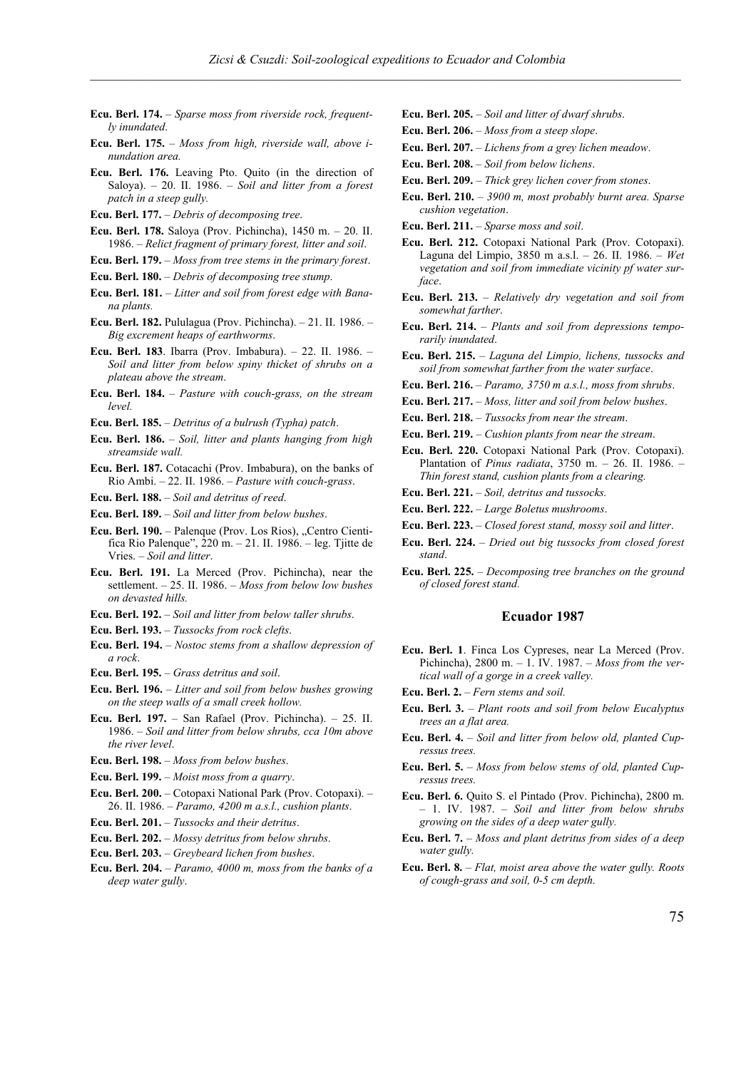- **Ecu. Berl. 174.** *Sparse moss from riverside rock, frequently inundated*.
- **Ecu. Berl. 175.**  *Moss from high, riverside wall, above inundation area.*
- **Ecu. Berl. 176.** Leaving Pto. Quito (in the direction of Saloya). – 20. II. 1986. – *Soil and litter from a forest patch in a steep gully.*
- **Ecu. Berl. 177.**  *Debris of decomposing tree*.
- **Ecu. Berl. 178.** Saloya (Prov. Pichincha), 1450 m. 20. II. 1986. – *Relict fragment of primary forest, litter and soil*.
- **Ecu. Berl. 179.**  *Moss from tree stems in the primary forest*.
- **Ecu. Berl. 180.**  *Debris of decomposing tree stump*.
- **Ecu. Berl. 181.** *Litter and soil from forest edge with Banana plants.*
- **Ecu. Berl. 182.** Pululagua (Prov. Pichincha). 21. II. 1986. *Big excrement heaps of earthworms*.
- **Ecu. Berl. 183**. Ibarra (Prov. Imbabura). 22. II. 1986. *Soil and litter from below spiny thicket of shrubs on a plateau above the stream*.
- **Ecu. Berl. 184.**  *Pasture with couch-grass, on the stream level.*
- **Ecu. Berl. 185.** *Detritus of a bulrush (Typha) patch*.
- **Ecu. Berl. 186.** *Soil, litter and plants hanging from high streamside wall.*
- **Ecu. Berl. 187.** Cotacachi (Prov. Imbabura), on the banks of Rio Ambi. – 22. II. 1986. – *Pasture with couch-grass*.
- **Ecu. Berl. 188.**  *Soil and detritus of reed*.
- **Ecu. Berl. 189.**  *Soil and litter from below bushes*.
- **Ecu. Berl. 190.** Palenque (Prov. Los Rios), "Centro Cientifica Rio Palenque", 220 m. – 21. II. 1986. – leg. Tjitte de Vries. – *Soil and litter*.
- **Ecu. Berl. 191.** La Merced (Prov. Pichincha), near the settlement. – 25. II. 1986. – *Moss from below low bushes on devasted hills.*
- **Ecu. Berl. 192.**  *Soil and litter from below taller shrubs*.
- **Ecu. Berl. 193.** *Tussocks from rock clefts*.
- **Ecu. Berl. 194.**  *Nostoc stems from a shallow depression of a rock*.
- **Ecu. Berl. 195.** *Grass detritus and soil*.
- **Ecu. Berl. 196.**  *Litter and soil from below bushes growing on the steep walls of a small creek hollow.*
- **Ecu. Berl. 197.**  San Rafael (Prov. Pichincha). 25. II. 1986. – *Soil and litter from below shrubs, cca 10m above the river level*.
- **Ecu. Berl. 198.** *Moss from below bushes*.
- **Ecu. Berl. 199.** *Moist moss from a quarry*.
- **Ecu. Berl. 200.**  Cotopaxi National Park (Prov. Cotopaxi). 26. II. 1986. – *Paramo, 4200 m a.s.l., cushion plants*.
- **Ecu. Berl. 201.** *Tussocks and their detritus*.
- **Ecu. Berl. 202.** *Mossy detritus from below shrubs*.
- **Ecu. Berl. 203.** *Greybeard lichen from bushes*.
- **Ecu. Berl. 204.**  *Paramo, 4000 m, moss from the banks of a deep water gully*.
- **Ecu. Berl. 205.** *Soil and litter of dwarf shrubs*.
- **Ecu. Berl. 206.** *Moss from a steep slope*.
- **Ecu. Berl. 207.** *Lichens from a grey lichen meadow*.
- **Ecu. Berl. 208.**  *Soil from below lichens*.
- **Ecu. Berl. 209.**  *Thick grey lichen cover from stones*.
- **Ecu. Berl. 210.** *3900 m, most probably burnt area. Sparse cushion vegetation*.
- **Ecu. Berl. 211.**  *Sparse moss and soil*.
- **Ecu. Berl. 212.** Cotopaxi National Park (Prov. Cotopaxi). Laguna del Limpio, 3850 m a.s.l. – 26. II. 1986. – *Wet vegetation and soil from immediate vicinity pf water surface*.
- **Ecu. Berl. 213.**  *Relatively dry vegetation and soil from somewhat farther*.
- **Ecu. Berl. 214.**  *Plants and soil from depressions temporarily inundated*.
- **Ecu. Berl. 215.**  *Laguna del Limpio, lichens, tussocks and soil from somewhat farther from the water surface*.
- **Ecu. Berl. 216.** *Paramo, 3750 m a.s.l., moss from shrubs*.
- **Ecu. Berl. 217.**  *Moss, litter and soil from below bushes*.
- **Ecu. Berl. 218.** *Tussocks from near the stream*.
- **Ecu. Berl. 219.**  *Cushion plants from near the stream*.
- **Ecu. Berl. 220.** Cotopaxi National Park (Prov. Cotopaxi). Plantation of *Pinus radiata*, 3750 m. – 26. II. 1986. – *Thin forest stand, cushion plants from a clearing.*
- **Ecu. Berl. 221.** *Soil, detritus and tussocks.*
- **Ecu. Berl. 222.** *Large Boletus mushrooms*.
- **Ecu. Berl. 223.** *Closed forest stand, mossy soil and litter*.
- **Ecu. Berl. 224.** *Dried out big tussocks from closed forest stand*.
- **Ecu. Berl. 225.** *Decomposing tree branches on the ground of closed forest stand.*

- **Ecu. Berl. 1**. Finca Los Cypreses, near La Merced (Prov. Pichincha), 2800 m. – 1. IV. 1987. – *Moss from the vertical wall of a gorge in a creek valley.*
- **Ecu. Berl. 2.** *Fern stems and soil.*
- **Ecu. Berl. 3.** *Plant roots and soil from below Eucalyptus trees an a flat area.*
- **Ecu. Berl. 4.** *Soil and litter from below old, planted Cupressus trees.*
- **Ecu. Berl. 5.** *Moss from below stems of old, planted Cupressus trees.*
- **Ecu. Berl. 6.** Quito S. el Pintado (Prov. Pichincha), 2800 m. – 1. IV. 1987. – *Soil and litter from below shrubs growing on the sides of a deep water gully.*
- **Ecu. Berl. 7.** *Moss and plant detritus from sides of a deep water gully.*
- **Ecu. Berl. 8.** *Flat, moist area above the water gully. Roots of cough-grass and soil, 0-5 cm depth.*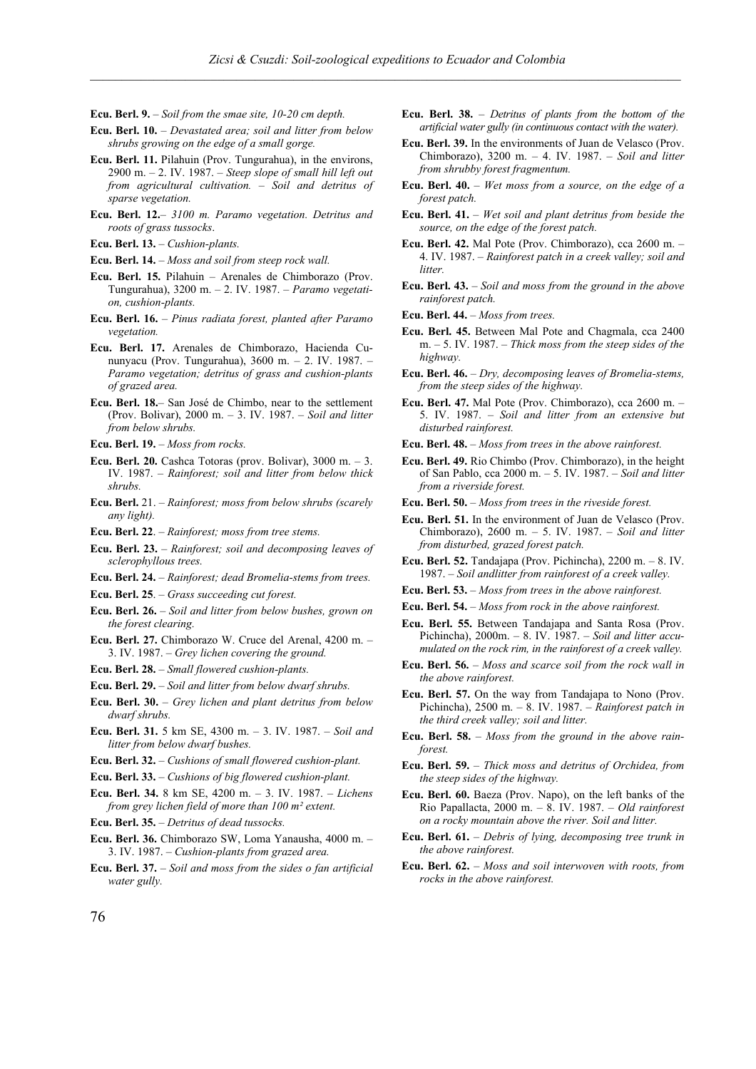- **Ecu. Berl. 9.** *Soil from the smae site, 10-20 cm depth.*
- **Ecu. Berl. 10.** *Devastated area; soil and litter from below shrubs growing on the edge of a small gorge.*
- **Ecu. Berl. 11.** Pilahuin (Prov. Tungurahua), in the environs, 2900 m. – 2. IV. 1987. – *Steep slope of small hill left out from agricultural cultivation. – Soil and detritus of sparse vegetation.*
- **Ecu. Berl. 12.** *3100 m. Paramo vegetation. Detritus and roots of grass tussocks*.
- **Ecu. Berl. 13.** *Cushion-plants.*
- **Ecu. Berl. 14.** *Moss and soil from steep rock wall.*
- **Ecu. Berl. 15.** Pilahuin Arenales de Chimborazo (Prov. Tungurahua), 3200 m. – 2. IV. 1987. – *Paramo vegetation, cushion-plants.*
- **Ecu. Berl. 16.** *Pinus radiata forest, planted after Paramo vegetation.*
- **Ecu. Berl. 17.** Arenales de Chimborazo, Hacienda Cununyacu (Prov. Tungurahua), 3600 m. – 2. IV. 1987. – *Paramo vegetation; detritus of grass and cushion-plants of grazed area.*
- **Ecu. Berl. 18.** San José de Chimbo, near to the settlement (Prov. Bolivar), 2000 m. – 3. IV. 1987. – *Soil and litter from below shrubs.*
- **Ecu. Berl. 19.** *Moss from rocks.*
- **Ecu. Berl. 20.** Cashca Totoras (prov. Bolivar), 3000 m. 3. IV. 1987. – *Rainforest; soil and litter from below thick shrubs.*
- **Ecu. Berl.** 21. *Rainforest; moss from below shrubs (scarely any light).*
- **Ecu. Berl. 22**. *Rainforest; moss from tree stems.*
- **Ecu. Berl. 23.** *Rainforest; soil and decomposing leaves of sclerophyllous trees.*
- **Ecu. Berl. 24.** *Rainforest; dead Bromelia-stems from trees.*
- **Ecu. Berl. 25**. *Grass succeeding cut forest.*
- **Ecu. Berl. 26.** *Soil and litter from below bushes, grown on the forest clearing.*
- **Ecu. Berl. 27.** Chimborazo W. Cruce del Arenal, 4200 m. 3. IV. 1987. – *Grey lichen covering the ground.*
- **Ecu. Berl. 28.** *Small flowered cushion-plants.*
- **Ecu. Berl. 29.** *Soil and litter from below dwarf shrubs.*
- **Ecu. Berl. 30.** *Grey lichen and plant detritus from below dwarf shrubs.*
- **Ecu. Berl. 31.** 5 km SE, 4300 m. 3. IV. 1987. *Soil and litter from below dwarf bushes.*
- **Ecu. Berl. 32.** *Cushions of small flowered cushion-plant.*
- **Ecu. Berl. 33.** *Cushions of big flowered cushion-plant.*
- **Ecu. Berl. 34.** 8 km SE, 4200 m. 3. IV. 1987. *Lichens from grey lichen field of more than 100 m² extent.*
- **Ecu. Berl. 35.** *Detritus of dead tussocks.*
- **Ecu. Berl. 36.** Chimborazo SW, Loma Yanausha, 4000 m. 3. IV. 1987. – *Cushion-plants from grazed area.*
- **Ecu. Berl. 37.**  *Soil and moss from the sides o fan artificial water gully.*
- **Ecu. Berl. 38.** *Detritus of plants from the bottom of the artificial water gully (in continuous contact with the water).*
- **Ecu. Berl. 39.** In the environments of Juan de Velasco (Prov. Chimborazo), 3200 m. – 4. IV. 1987. – *Soil and litter from shrubby forest fragmentum.*
- **Ecu. Berl. 40.** *Wet moss from a source, on the edge of a forest patch.*
- **Ecu. Berl. 41.** *Wet soil and plant detritus from beside the source, on the edge of the forest patch.*
- **Ecu. Berl. 42.** Mal Pote (Prov. Chimborazo), cca 2600 m. 4. IV. 1987. – *Rainforest patch in a creek valley; soil and litter.*
- **Ecu. Berl. 43.** *Soil and moss from the ground in the above rainforest patch.*
- **Ecu. Berl. 44.** *Moss from trees.*
- **Ecu. Berl. 45.** Between Mal Pote and Chagmala, cca 2400 m. – 5. IV. 1987. – *Thick moss from the steep sides of the highway.*
- **Ecu. Berl. 46.** *Dry, decomposing leaves of Bromelia-stems, from the steep sides of the highway.*
- **Ecu. Berl. 47.** Mal Pote (Prov. Chimborazo), cca 2600 m. 5. IV. 1987. – *Soil and litter from an extensive but disturbed rainforest.*
- **Ecu. Berl. 48.** *Moss from trees in the above rainforest.*
- **Ecu. Berl. 49.** Rio Chimbo (Prov. Chimborazo), in the height of San Pablo, cca 2000 m. – 5. IV. 1987. – *Soil and litter from a riverside forest.*
- **Ecu. Berl. 50.** *Moss from trees in the riveside forest.*
- **Ecu. Berl. 51.** In the environment of Juan de Velasco (Prov. Chimborazo), 2600 m. – 5. IV. 1987. – *Soil and litter from disturbed, grazed forest patch.*
- **Ecu. Berl. 52.** Tandajapa (Prov. Pichincha), 2200 m. 8. IV. 1987. – *Soil andlitter from rainforest of a creek valley.*
- **Ecu. Berl. 53.** *Moss from trees in the above rainforest.*
- **Ecu. Berl. 54.** *Moss from rock in the above rainforest.*
- **Ecu. Berl. 55.** Between Tandajapa and Santa Rosa (Prov. Pichincha), 2000m. – 8. IV. 1987. – *Soil and litter accumulated on the rock rim, in the rainforest of a creek valley.*
- **Ecu. Berl. 56.** *Moss and scarce soil from the rock wall in the above rainforest.*
- **Ecu. Berl. 57.** On the way from Tandajapa to Nono (Prov. Pichincha), 2500 m. – 8. IV. 1987. – *Rainforest patch in the third creek valley; soil and litter.*
- **Ecu. Berl. 58.** *Moss from the ground in the above rainforest.*
- **Ecu. Berl. 59.** *Thick moss and detritus of Orchidea, from the steep sides of the highway.*
- **Ecu. Berl. 60.** Baeza (Prov. Napo), on the left banks of the Rio Papallacta, 2000 m. – 8. IV. 1987. – *Old rainforest on a rocky mountain above the river. Soil and litter.*
- **Ecu. Berl. 61.** *Debris of lying, decomposing tree trunk in the above rainforest.*
- **Ecu. Berl. 62.** *Moss and soil interwoven with roots, from rocks in the above rainforest.*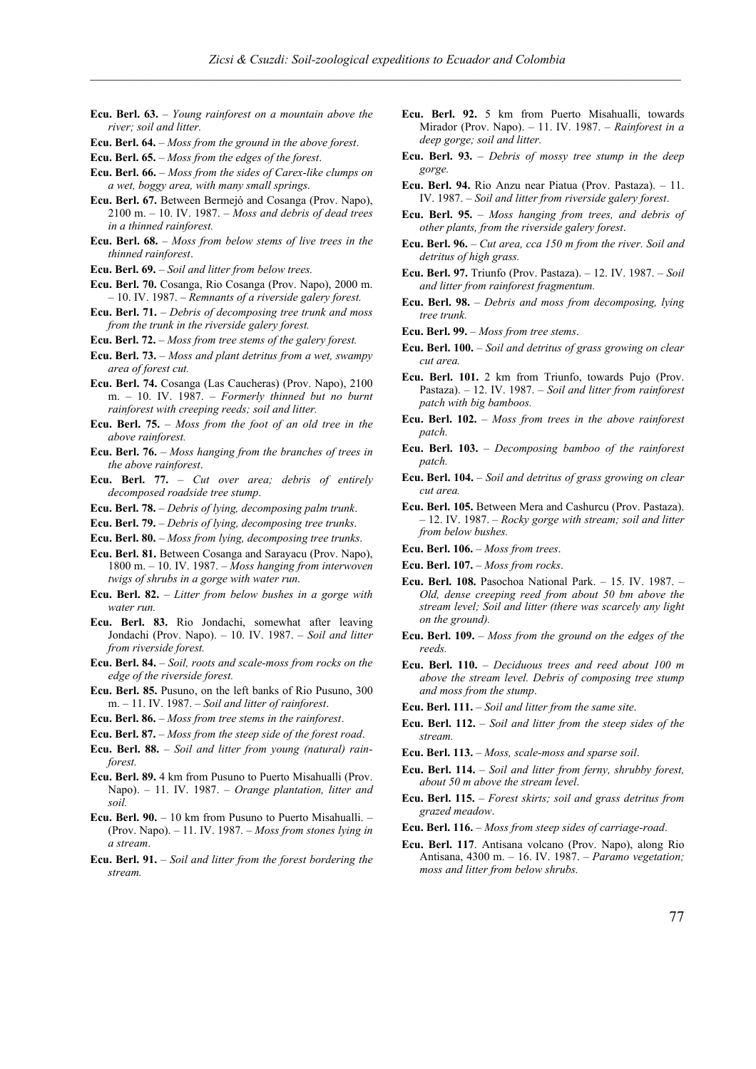- **Ecu. Berl. 63.** *Young rainforest on a mountain above the river; soil and litter.*
- **Ecu. Berl. 64.** *Moss from the ground in the above forest*.
- **Ecu. Berl. 65.** *Moss from the edges of the forest*.
- **Ecu. Berl. 66.** *Moss from the sides of Carex-like clumps on a wet, boggy area, with many small springs*.
- **Ecu. Berl. 67.** Between Bermejó and Cosanga (Prov. Napo), 2100 m. – 10. IV. 1987. – *Moss and debris of dead trees in a thinned rainforest.*
- **Ecu. Berl. 68.** *Moss from below stems of live trees in the thinned rainforest*.
- **Ecu. Berl. 69.** *Soil and litter from below trees.*
- **Ecu. Berl. 70.** Cosanga, Rio Cosanga (Prov. Napo), 2000 m. – 10. IV. 1987. – *Remnants of a riverside galery forest.*
- **Ecu. Berl. 71.** *Debris of decomposing tree trunk and moss from the trunk in the riverside galery forest.*
- **Ecu. Berl. 72.** *Moss from tree stems of the galery forest.*
- **Ecu. Berl. 73.** *Moss and plant detritus from a wet, swampy area of forest cut.*
- **Ecu. Berl. 74.** Cosanga (Las Caucheras) (Prov. Napo), 2100 m. – 10. IV. 1987. – *Formerly thinned but no burnt rainforest with creeping reeds; soil and litter.*
- **Ecu. Berl. 75.** *Moss from the foot of an old tree in the above rainforest.*
- **Ecu. Berl. 76.** *Moss hanging from the branches of trees in the above rainforest*.
- **Ecu. Berl. 77.** *Cut over area; debris of entirely decomposed roadside tree stump*.
- **Ecu. Berl. 78.** *Debris of lying, decomposing palm trunk*.
- **Ecu. Berl. 79.** *Debris of lying, decomposing tree trunks*.
- **Ecu. Berl. 80.** *Moss from lying, decomposing tree trunks*.
- **Ecu. Berl. 81.** Between Cosanga and Sarayacu (Prov. Napo), 1800 m. – 10. IV. 1987. – *Moss hanging from interwoven twigs of shrubs in a gorge with water run*.
- **Ecu. Berl. 82.** *Litter from below bushes in a gorge with water run.*
- **Ecu. Berl. 83.** Rio Jondachi, somewhat after leaving Jondachi (Prov. Napo). – 10. IV. 1987. – *Soil and litter from riverside forest.*
- **Ecu. Berl. 84.** *Soil, roots and scale-moss from rocks on the edge of the riverside forest.*
- **Ecu. Berl. 85.** Pusuno, on the left banks of Rio Pusuno, 300 m. – 11. IV. 1987. – *Soil and litter of rainforest*.
- **Ecu. Berl. 86.** *Moss from tree stems in the rainforest*.
- **Ecu. Berl. 87.** *Moss from the steep side of the forest road*.
- **Ecu. Berl. 88.** *Soil and litter from young (natural) rainforest.*
- **Ecu. Berl. 89.** 4 km from Pusuno to Puerto Misahualli (Prov. Napo). – 11. IV. 1987. – *Orange plantation, litter and soil.*
- **Ecu. Berl. 90.** 10 km from Pusuno to Puerto Misahualli. (Prov. Napo). – 11. IV. 1987. – *Moss from stones lying in a stream*.
- **Ecu. Berl. 91.** *Soil and litter from the forest bordering the stream.*
- **Ecu. Berl. 92.** 5 km from Puerto Misahualli, towards Mirador (Prov. Napo). – 11. IV. 1987. – *Rainforest in a deep gorge; soil and litter.*
- **Ecu. Berl. 93.** *Debris of mossy tree stump in the deep gorge.*
- **Ecu. Berl. 94.** Rio Anzu near Piatua (Prov. Pastaza). 11. IV. 1987. – *Soil and litter from riverside galery forest*.
- **Ecu. Berl. 95.** *Moss hanging from trees, and debris of other plants, from the riverside galery forest*.
- **Ecu. Berl. 96.** *Cut area, cca 150 m from the river. Soil and detritus of high grass.*
- **Ecu. Berl. 97.** Triunfo (Prov. Pastaza). 12. IV. 1987. *Soil and litter from rainforest fragmentum.*
- **Ecu. Berl. 98.** *Debris and moss from decomposing, lying tree trunk.*
- **Ecu. Berl. 99.** *Moss from tree stems*.
- **Ecu. Berl. 100.** *Soil and detritus of grass growing on clear cut area.*
- **Ecu. Berl. 101.** 2 km from Triunfo, towards Pujo (Prov. Pastaza). – 12. IV. 1987. – *Soil and litter from rainforest patch with big bamboos.*
- **Ecu. Berl. 102.** *Moss from trees in the above rainforest patch.*
- **Ecu. Berl. 103.** *Decomposing bamboo of the rainforest patch.*
- **Ecu. Berl. 104.** *Soil and detritus of grass growing on clear cut area.*
- **Ecu. Berl. 105.** Between Mera and Cashurcu (Prov. Pastaza). – 12. IV. 1987. – *Rocky gorge with stream; soil and litter from below bushes.*
- **Ecu. Berl. 106.** *Moss from trees*.
- **Ecu. Berl. 107.** *Moss from rocks*.
- **Ecu. Berl. 108.** Pasochoa National Park. 15. IV. 1987. *Old, dense creeping reed from about 50 bm above the stream level; Soil and litter (there was scarcely any light on the ground).*
- **Ecu. Berl. 109.** *Moss from the ground on the edges of the reeds.*
- **Ecu. Berl. 110.** *Deciduous trees and reed about 100 m above the stream level. Debris of composing tree stump and moss from the stump*.
- **Ecu. Berl. 111.** *Soil and litter from the same site*.
- **Ecu. Berl. 112.** *Soil and litter from the steep sides of the stream.*
- **Ecu. Berl. 113.** *Moss, scale-moss and sparse soil*.
- **Ecu. Berl. 114.** *Soil and litter from ferny, shrubby forest, about 50 m above the stream level*.
- **Ecu. Berl. 115.** *Forest skirts; soil and grass detritus from grazed meadow*.
- **Ecu. Berl. 116.** *Moss from steep sides of carriage-road*.
- **Ecu. Berl. 117**. Antisana volcano (Prov. Napo), along Rio Antisana, 4300 m. – 16. IV. 1987. – *Paramo vegetation; moss and litter from below shrubs.*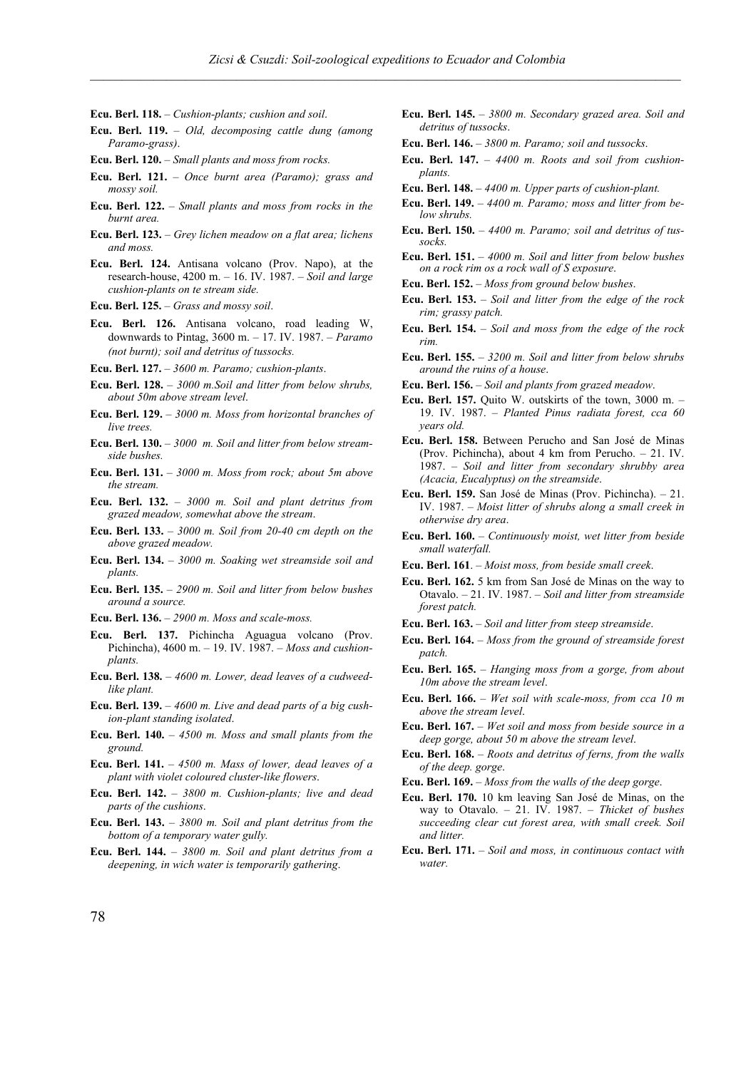- **Ecu. Berl. 118.** *Cushion-plants; cushion and soil*.
- **Ecu. Berl. 119.** *Old, decomposing cattle dung (among Paramo-grass)*.
- **Ecu. Berl. 120.** *Small plants and moss from rocks.*
- **Ecu. Berl. 121.** *Once burnt area (Paramo); grass and mossy soil.*
- **Ecu. Berl. 122.** *Small plants and moss from rocks in the burnt area.*
- **Ecu. Berl. 123.** *Grey lichen meadow on a flat area; lichens and moss.*
- **Ecu. Berl. 124.** Antisana volcano (Prov. Napo), at the research-house, 4200 m. – 16. IV. 1987. – *Soil and large cushion-plants on te stream side.*
- **Ecu. Berl. 125.** *Grass and mossy soil*.
- **Ecu. Berl. 126.** Antisana volcano, road leading W, downwards to Pintag, 3600 m. – 17. IV. 1987. – *Paramo (not burnt); soil and detritus of tussocks.*
- **Ecu. Berl. 127.** *3600 m. Paramo; cushion-plants*.
- **Ecu. Berl. 128.** *3000 m.Soil and litter from below shrubs, about 50m above stream level*.
- **Ecu. Berl. 129.** *3000 m. Moss from horizontal branches of live trees.*
- **Ecu. Berl. 130.** *3000 m. Soil and litter from below streamside bushes.*
- **Ecu. Berl. 131.** *3000 m. Moss from rock; about 5m above the stream.*
- **Ecu. Berl. 132.** *3000 m. Soil and plant detritus from grazed meadow, somewhat above the stream*.
- **Ecu. Berl. 133.** *3000 m. Soil from 20-40 cm depth on the above grazed meadow.*
- **Ecu. Berl. 134.**  *3000 m. Soaking wet streamside soil and plants.*
- **Ecu. Berl. 135.** *2900 m. Soil and litter from below bushes around a source.*
- **Ecu. Berl. 136.** *2900 m. Moss and scale-moss.*
- **Ecu. Berl. 137.** Pichincha Aguagua volcano (Prov. Pichincha), 4600 m. – 19. IV. 1987. – *Moss and cushionplants.*
- **Ecu. Berl. 138.** *4600 m. Lower, dead leaves of a cudweedlike plant.*
- **Ecu. Berl. 139.** *4600 m. Live and dead parts of a big cushion-plant standing isolated*.
- **Ecu. Berl. 140.** *4500 m. Moss and small plants from the ground.*
- **Ecu. Berl. 141.** *4500 m. Mass of lower, dead leaves of a plant with violet coloured cluster-like flowers*.
- **Ecu. Berl. 142.** *3800 m. Cushion-plants; live and dead parts of the cushions*.
- **Ecu. Berl. 143.** *3800 m. Soil and plant detritus from the bottom of a temporary water gully.*
- **Ecu. Berl. 144.** *3800 m. Soil and plant detritus from a deepening, in wich water is temporarily gathering*.
- **Ecu. Berl. 145.** *3800 m. Secondary grazed area. Soil and detritus of tussocks*.
- **Ecu. Berl. 146.** *3800 m. Paramo; soil and tussocks*.
- **Ecu. Berl. 147.** *4400 m. Roots and soil from cushionplants.*
- **Ecu. Berl. 148.** *4400 m. Upper parts of cushion-plant.*
- **Ecu. Berl. 149.** *4400 m. Paramo; moss and litter from below shrubs.*
- **Ecu. Berl. 150.** *4400 m. Paramo; soil and detritus of tussocks.*
- **Ecu. Berl. 151.** *4000 m. Soil and litter from below bushes on a rock rim os a rock wall of S exposure*.
- **Ecu. Berl. 152.** *Moss from ground below bushes*.
- **Ecu. Berl. 153.** *Soil and litter from the edge of the rock rim; grassy patch.*
- **Ecu. Berl. 154.** *Soil and moss from the edge of the rock rim.*
- **Ecu. Berl. 155.** *3200 m. Soil and litter from below shrubs around the ruins of a house*.
- **Ecu. Berl. 156.** *Soil and plants from grazed meadow*.
- **Ecu. Berl. 157.** Quito W. outskirts of the town, 3000 m. 19. IV. 1987. – *Planted Pinus radiata forest, cca 60 years old.*
- **Ecu. Berl. 158.** Between Perucho and San José de Minas (Prov. Pichincha), about 4 km from Perucho. – 21. IV. 1987. – *Soil and litter from secondary shrubby area (Acacia, Eucalyptus) on the streamside*.
- **Ecu. Berl. 159.** San José de Minas (Prov. Pichincha). 21. IV. 1987. – *Moist litter of shrubs along a small creek in otherwise dry area*.
- **Ecu. Berl. 160.** *Continuously moist, wet litter from beside small waterfall.*
- **Ecu. Berl. 161**. *Moist moss, from beside small creek*.
- **Ecu. Berl. 162.** 5 km from San José de Minas on the way to Otavalo. – 21. IV. 1987. – *Soil and litter from streamside forest patch.*
- **Ecu. Berl. 163.** *Soil and litter from steep streamside*.
- **Ecu. Berl. 164.** *Moss from the ground of streamside forest patch.*
- **Ecu. Berl. 165.** *Hanging moss from a gorge, from about 10m above the stream level*.
- **Ecu. Berl. 166.** *Wet soil with scale-moss, from cca 10 m above the stream level*.
- **Ecu. Berl. 167.** *Wet soil and moss from beside source in a deep gorge, about 50 m above the stream level*.
- **Ecu. Berl. 168.** *Roots and detritus of ferns, from the walls of the deep. gorge*.
- **Ecu. Berl. 169.** *Moss from the walls of the deep gorge*.
- **Ecu. Berl. 170.** 10 km leaving San José de Minas, on the way to Otavalo. – 21. IV. 1987. – *Thicket of bushes succeeding clear cut forest area, with small creek. Soil and litter.*
- **Ecu. Berl. 171.** *Soil and moss, in continuous contact with water.*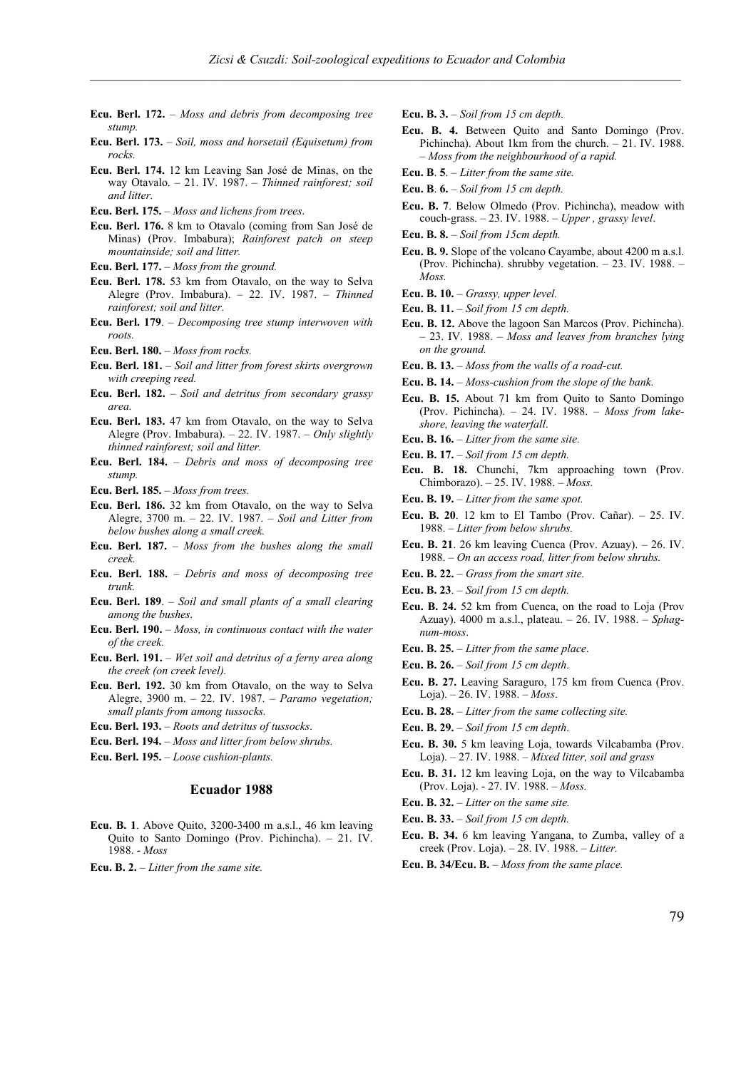- **Ecu. Berl. 172.** *Moss and debris from decomposing tree stump.*
- **Ecu. Berl. 173.** *Soil, moss and horsetail (Equisetum) from rocks.*
- **Ecu. Berl. 174.** 12 km Leaving San José de Minas, on the way Otavalo. – 21. IV. 1987. – *Thinned rainforest; soil and litter.*
- **Ecu. Berl. 175.** *Moss and lichens from trees*.
- **Ecu. Berl. 176.** 8 km to Otavalo (coming from San José de Minas) (Prov. Imbabura); *Rainforest patch on steep mountainside; soil and litter.*
- **Ecu. Berl. 177.** *Moss from the ground.*
- **Ecu. Berl. 178.** 53 km from Otavalo, on the way to Selva Alegre (Prov. Imbabura). – 22. IV. 1987. – *Thinned rainforest; soil and litter.*
- **Ecu. Berl. 179**. *Decomposing tree stump interwoven with roots.*
- **Ecu. Berl. 180.** *Moss from rocks.*
- **Ecu. Berl. 181.** *Soil and litter from forest skirts overgrown with creeping reed.*
- **Ecu. Berl. 182.** *Soil and detritus from secondary grassy area.*
- **Ecu. Berl. 183.** 47 km from Otavalo, on the way to Selva Alegre (Prov. Imbabura). – 22. IV. 1987. – *Only slightly thinned rainforest; soil and litter.*
- **Ecu. Berl. 184.** *Debris and moss of decomposing tree stump.*
- **Ecu. Berl. 185.**  *Moss from trees.*
- **Ecu. Berl. 186.** 32 km from Otavalo, on the way to Selva Alegre, 3700 m. – 22. IV. 1987. – *Soil and Litter from below bushes along a small creek.*
- **Ecu. Berl. 187.** *Moss from the bushes along the small creek.*
- **Ecu. Berl. 188.** *Debris and moss of decomposing tree trunk.*
- **Ecu. Berl. 189**. *Soil and small plants of a small clearing among the bushes*.
- **Ecu. Berl. 190.** *Moss, in continuous contact with the water of the creek.*
- **Ecu. Berl. 191.** *Wet soil and detritus of a ferny area along the creek (on creek level).*
- **Ecu. Berl. 192.** 30 km from Otavalo, on the way to Selva Alegre, 3900 m. – 22. IV. 1987. – *Paramo vegetation; small plants from among tussocks.*
- **Ecu. Berl. 193.** *Roots and detritus of tussocks*.
- **Ecu. Berl. 194.** *Moss and litter from below shrubs.*
- **Ecu. Berl. 195.** *Loose cushion-plants.*

#### **Ecuador 1988**

- **Ecu. B. 1**. Above Quito, 3200-3400 m a.s.l., 46 km leaving Quito to Santo Domingo (Prov. Pichincha). – 21. IV. 1988. - *Moss*
- **Ecu. B. 2.** *Litter from the same site.*

**Ecu. B. 3.** – *Soil from 15 cm depth*.

- **Ecu. B. 4.** Between Quito and Santo Domingo (Prov. Pichincha). About 1km from the church. – 21. IV. 1988. – *Moss from the neighbourhood of a rapid.*
- **Ecu. B**. **5**. *Litter from the same site.*
- **Ecu. B**. **6.** *Soil from 15 cm depth.*
- **Ecu. B. 7**. Below Olmedo (Prov. Pichincha), meadow with couch-grass. – 23. IV. 1988. – *Upper , grassy level*.
- **Ecu. B. 8.** *Soil from 15cm depth.*
- **Ecu. B. 9.** Slope of the volcano Cayambe, about 4200 m a.s.l. (Prov. Pichincha). shrubby vegetation. – 23. IV. 1988. – *Moss.*
- **Ecu. B. 10.** *Grassy, upper level.*
- **Ecu. B. 11.** *Soil from 15 cm depth.*
- **Ecu. B. 12.** Above the lagoon San Marcos (Prov. Pichincha). – 23. IV. 1988. – *Moss and leaves from branches lying on the ground.*
- **Ecu. B. 13.** *Moss from the walls of a road-cut.*
- **Ecu. B. 14.** *Moss-cushion from the slope of the bank.*
- **Ecu. B. 15.** About 71 km from Quito to Santo Domingo (Prov. Pichincha). – 24. IV. 1988. – *Moss from lakeshore, leaving the waterfall*.
- **Ecu. B. 16.** *Litter from the same site.*
- **Ecu. B. 17.** *Soil from 15 cm depth.*
- **Ecu. B. 18.** Chunchi, 7km approaching town (Prov. Chimborazo). – 25. IV. 1988. – *Moss.*
- **Ecu. B. 19.** *Litter from the same spot.*
- **Ecu. B. 20**. 12 km to El Tambo (Prov. Cañar). 25. IV. 1988. – *Litter from below shrubs.*
- **Ecu. B. 21**. 26 km leaving Cuenca (Prov. Azuay). 26. IV. 1988. – *On an access road, litter from below shrubs.*
- **Ecu. B. 22.** *Grass from the smart site.*
- **Ecu. B. 23**. *Soil from 15 cm depth.*
- **Ecu. B. 24.** 52 km from Cuenca, on the road to Loja (Prov Azuay). 4000 m a.s.l., plateau. – 26. IV. 1988. – *Sphagnum-moss*.
- **Ecu. B. 25.** *Litter from the same place*.
- **Ecu. B. 26.** *Soil from 15 cm depth*.
- **Ecu. B. 27.** Leaving Saraguro, 175 km from Cuenca (Prov. Loja). – 26. IV. 1988. – *Moss*.
- **Ecu. B. 28.** *Litter from the same collecting site.*
- **Ecu. B. 29.** *Soil from 15 cm depth*.
- **Ecu. B. 30.** 5 km leaving Loja, towards Vilcabamba (Prov. Loja). – 27. IV. 1988. – *Mixed litter, soil and grass*
- **Ecu. B. 31.** 12 km leaving Loja, on the way to Vilcabamba (Prov. Loja). - 27. IV. 1988. – *Moss.*
- **Ecu. B. 32.** *Litter on the same site.*
- **Ecu. B. 33.** *Soil from 15 cm depth.*
- **Ecu. B. 34.** 6 km leaving Yangana, to Zumba, valley of a creek (Prov. Loja). – 28. IV. 1988. – *Litter.*
- **Ecu. B. 34/Ecu. B.** *Moss from the same place.*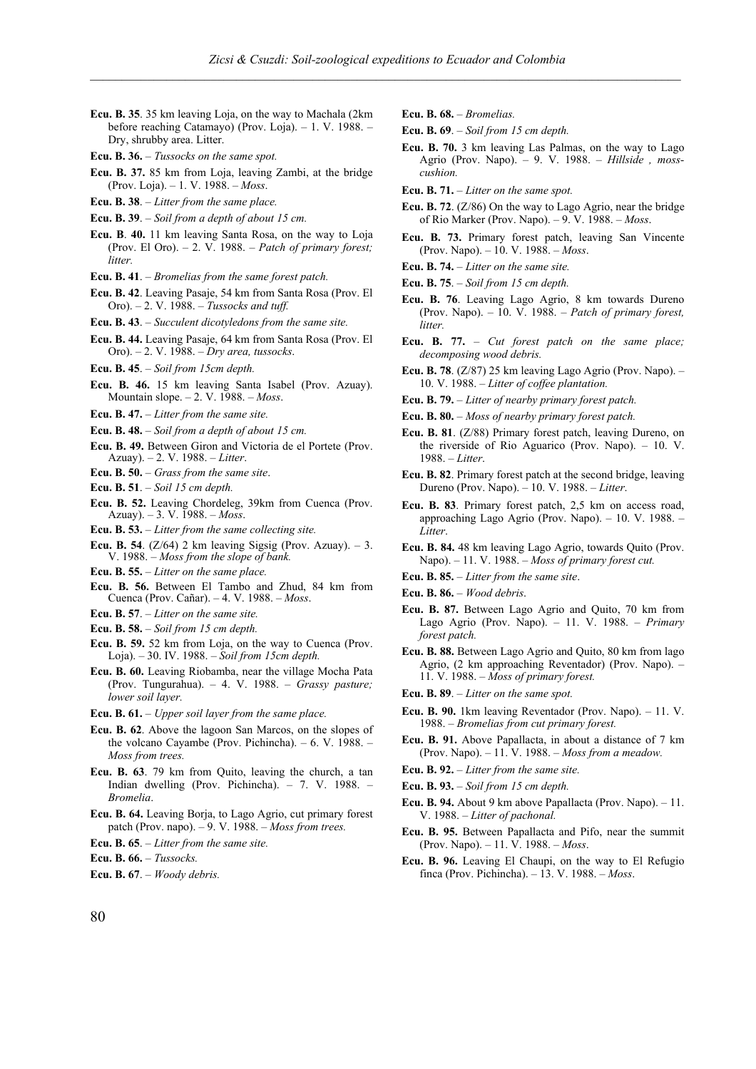- **Ecu. B. 35**. 35 km leaving Loja, on the way to Machala (2km before reaching Catamayo) (Prov. Loja). – 1. V. 1988. – Dry, shrubby area. Litter.
- **Ecu. B. 36.** *Tussocks on the same spot.*
- **Ecu. B. 37.** 85 km from Loja, leaving Zambi, at the bridge (Prov. Loja). – 1. V. 1988. – *Moss*.
- **Ecu. B. 38**. *Litter from the same place.*
- **Ecu. B. 39**. *Soil from a depth of about 15 cm.*
- **Ecu. B**. **40.** 11 km leaving Santa Rosa, on the way to Loja (Prov. El Oro). – 2. V. 1988. – *Patch of primary forest; litter.*
- **Ecu. B. 41**. *Bromelias from the same forest patch.*
- **Ecu. B. 42**. Leaving Pasaje, 54 km from Santa Rosa (Prov. El Oro). – 2. V. 1988. – *Tussocks and tuff.*
- **Ecu. B. 43**. *Succulent dicotyledons from the same site.*
- **Ecu. B. 44.** Leaving Pasaje, 64 km from Santa Rosa (Prov. El Oro). – 2. V. 1988. – *Dry area, tussocks*.
- **Ecu. B. 45**. *Soil from 15cm depth.*
- **Ecu. B. 46.** 15 km leaving Santa Isabel (Prov. Azuay). Mountain slope. – 2. V. 1988. – *Moss*.
- **Ecu. B. 47.** *Litter from the same site.*
- **Ecu. B. 48.** *Soil from a depth of about 15 cm.*
- **Ecu. B. 49.** Between Giron and Victoria de el Portete (Prov. Azuay). – 2. V. 1988. – *Litter*.
- **Ecu. B. 50.** *Grass from the same site*.
- **Ecu. B. 51**. *Soil 15 cm depth.*
- **Ecu. B. 52.** Leaving Chordeleg, 39km from Cuenca (Prov. Azuay). – 3. V. 1988. – *Moss*.
- **Ecu. B. 53.** *Litter from the same collecting site.*
- **Ecu. B. 54**. ( $Z/64$ ) 2 km leaving Sigsig (Prov. Azuay).  $-3$ . V. 1988. – *Moss from the slope of bank.*
- **Ecu. B. 55.** *Litter on the same place.*
- **Ecu. B. 56.** Between El Tambo and Zhud, 84 km from Cuenca (Prov. Cañar). – 4. V. 1988. – *Moss*.
- **Ecu. B. 57**. *Litter on the same site.*
- **Ecu. B. 58.** *Soil from 15 cm depth.*
- **Ecu. B. 59.** 52 km from Loja, on the way to Cuenca (Prov. Loja). – 30. IV. 1988. – *Soil from 15cm depth.*
- **Ecu. B. 60.** Leaving Riobamba, near the village Mocha Pata (Prov. Tungurahua). – 4. V. 1988. – *Grassy pasture; lower soil layer.*
- **Ecu. B. 61.** *Upper soil layer from the same place.*
- **Ecu. B. 62**. Above the lagoon San Marcos, on the slopes of the volcano Cayambe (Prov. Pichincha). – 6. V. 1988. – *Moss from trees.*
- **Ecu. B. 63**. 79 km from Quito, leaving the church, a tan Indian dwelling (Prov. Pichincha). – 7. V. 1988. – *Bromelia*.
- **Ecu. B. 64.** Leaving Borja, to Lago Agrio, cut primary forest patch (Prov. napo). – 9. V. 1988. – *Moss from trees.*
- **Ecu. B. 65**. *Litter from the same site.*
- **Ecu. B. 66.** *Tussocks.*
- **Ecu. B. 67**. *Woody debris.*
- **Ecu. B. 68.** *Bromelias.*
- **Ecu. B. 69**. *Soil from 15 cm depth.*
- **Ecu. B. 70.** 3 km leaving Las Palmas, on the way to Lago Agrio (Prov. Napo). – 9. V. 1988. – *Hillside , mosscushion.*
- **Ecu. B. 71.** *Litter on the same spot.*
- **Ecu. B. 72**. (Z/86) On the way to Lago Agrio, near the bridge of Rio Marker (Prov. Napo). – 9. V. 1988. – *Moss*.
- **Ecu. B. 73.** Primary forest patch, leaving San Vincente (Prov. Napo). – 10. V. 1988. – *Moss*.
- **Ecu. B. 74.** *Litter on the same site.*
- **Ecu. B. 75**. *Soil from 15 cm depth.*
- **Ecu. B. 76**. Leaving Lago Agrio, 8 km towards Dureno (Prov. Napo). – 10. V. 1988. – *Patch of primary forest, litter.*
- **Ecu. B. 77.** *Cut forest patch on the same place; decomposing wood debris.*
- **Ecu. B. 78**. (Z/87) 25 km leaving Lago Agrio (Prov. Napo). 10. V. 1988. – *Litter of coffee plantation.*
- **Ecu. B. 79.** *Litter of nearby primary forest patch.*
- **Ecu. B. 80.** *Moss of nearby primary forest patch.*
- **Ecu. B. 81**. (Z/88) Primary forest patch, leaving Dureno, on the riverside of Rio Aguarico (Prov. Napo). – 10. V. 1988. – *Litter*.
- **Ecu. B. 82**. Primary forest patch at the second bridge, leaving Dureno (Prov. Napo). – 10. V. 1988. – *Litter*.
- **Ecu. B. 83**. Primary forest patch, 2,5 km on access road, approaching Lago Agrio (Prov. Napo). – 10. V. 1988. – *Litter*.
- **Ecu. B. 84.** 48 km leaving Lago Agrio, towards Quito (Prov. Napo). – 11. V. 1988. – *Moss of primary forest cut.*
- **Ecu. B. 85.** *Litter from the same site*.
- **Ecu. B. 86.** *Wood debris*.
- **Ecu. B. 87.** Between Lago Agrio and Quito, 70 km from Lago Agrio (Prov. Napo). – 11. V. 1988. – *Primary forest patch.*
- **Ecu. B. 88.** Between Lago Agrio and Quito, 80 km from lago Agrio, (2 km approaching Reventador) (Prov. Napo). – 11. V. 1988. – *Moss of primary forest.*
- **Ecu. B. 89**. *Litter on the same spot.*
- **Ecu. B. 90.** 1km leaving Reventador (Prov. Napo). 11. V. 1988. – *Bromelias from cut primary forest.*
- **Ecu. B. 91.** Above Papallacta, in about a distance of 7 km (Prov. Napo). – 11. V. 1988. – *Moss from a meadow.*
- **Ecu. B. 92.** *Litter from the same site.*
- **Ecu. B. 93.** *Soil from 15 cm depth.*
- **Ecu. B. 94.** About 9 km above Papallacta (Prov. Napo). 11. V. 1988. – *Litter of pachonal.*
- **Ecu. B. 95.** Between Papallacta and Pifo, near the summit (Prov. Napo). – 11. V. 1988. – *Moss*.
- **Ecu. B. 96.** Leaving El Chaupi, on the way to El Refugio finca (Prov. Pichincha). – 13. V. 1988. – *Moss*.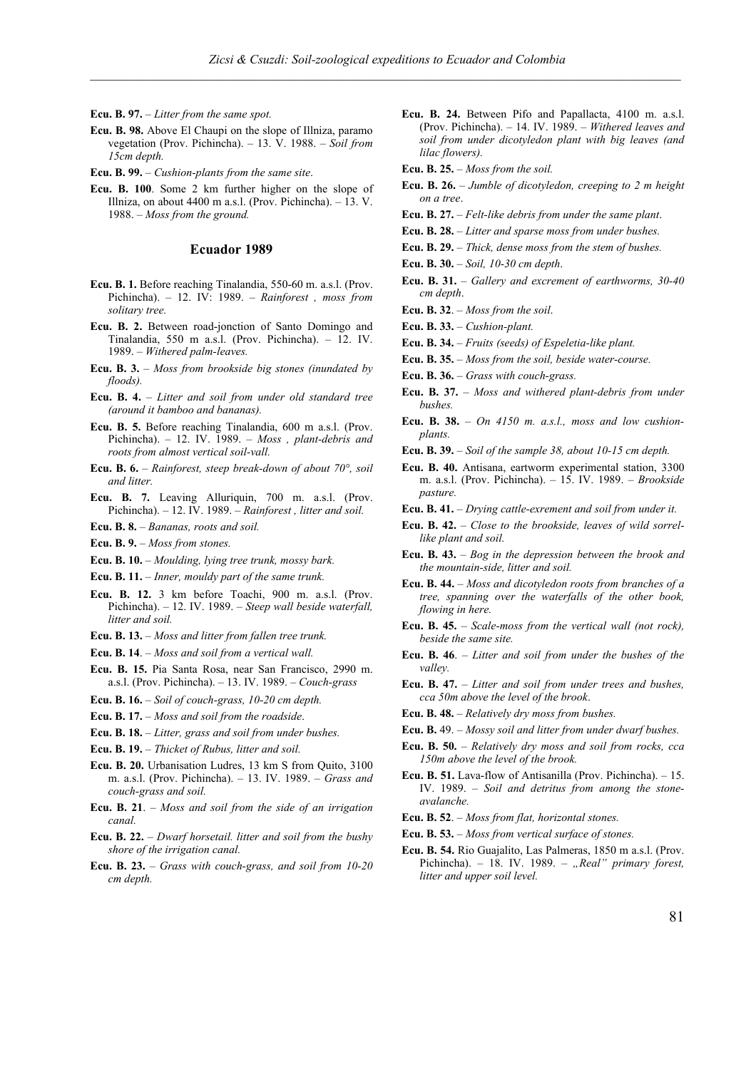**Ecu. B. 97.** – *Litter from the same spot.*

**Ecu. B. 98.** Above El Chaupi on the slope of Illniza, paramo vegetation (Prov. Pichincha). – 13. V. 1988. – *Soil from 15cm depth.* 

**Ecu. B. 99.** – *Cushion-plants from the same site*.

**Ecu. B. 100**. Some 2 km further higher on the slope of Illniza, on about 4400 m a.s.l. (Prov. Pichincha).  $-$  13. V. 1988. – *Moss from the ground.*

#### **Ecuador 1989**

- **Ecu. B. 1.** Before reaching Tinalandia, 550-60 m. a.s.l. (Prov. Pichincha). – 12. IV: 1989. – *Rainforest , moss from solitary tree.*
- **Ecu. B. 2.** Between road-jonction of Santo Domingo and Tinalandia, 550 m a.s.l. (Prov. Pichincha). – 12. IV. 1989. – *Withered palm-leaves.*
- **Ecu. B. 3.**  *Moss from brookside big stones (inundated by floods).*
- **Ecu. B. 4.** *Litter and soil from under old standard tree (around it bamboo and bananas).*
- **Ecu. B. 5.** Before reaching Tinalandia, 600 m a.s.l. (Prov. Pichincha). – 12. IV. 1989. – *Moss , plant-debris and roots from almost vertical soil-vall.*
- **Ecu. B. 6.** *Rainforest, steep break-down of about 70°, soil and litter.*
- **Ecu. B. 7.** Leaving Alluriquin, 700 m. a.s.l. (Prov. Pichincha). – 12. IV. 1989. – *Rainforest , litter and soil.*
- **Ecu. B. 8.** *Bananas, roots and soil.*
- **Ecu. B. 9.** *Moss from stones.*
- **Ecu. B. 10.** *Moulding, lying tree trunk, mossy bark.*
- **Ecu. B. 11.** *Inner, mouldy part of the same trunk.*
- **Ecu. B. 12.** 3 km before Toachi, 900 m. a.s.l. (Prov. Pichincha). – 12. IV. 1989. – *Steep wall beside waterfall, litter and soil.*
- **Ecu. B. 13.** *Moss and litter from fallen tree trunk.*
- **Ecu. B. 14**. *Moss and soil from a vertical wall.*
- **Ecu. B. 15.** Pia Santa Rosa, near San Francisco, 2990 m. a.s.l. (Prov. Pichincha). – 13. IV. 1989. – *Couch-grass*
- **Ecu. B. 16.** *Soil of couch-grass, 10-20 cm depth.*
- **Ecu. B. 17.** *Moss and soil from the roadside*.
- **Ecu. B. 18.** *Litter, grass and soil from under bushes.*
- **Ecu. B. 19.** *Thicket of Rubus, litter and soil.*
- **Ecu. B. 20.** Urbanisation Ludres, 13 km S from Quito, 3100 m. a.s.l. (Prov. Pichincha). – 13. IV. 1989. – *Grass and couch-grass and soil.*
- **Ecu. B. 21**. *Moss and soil from the side of an irrigation canal.*
- **Ecu. B. 22.** *Dwarf horsetail. litter and soil from the bushy shore of the irrigation canal.*
- **Ecu. B. 23.** *Grass with couch-grass, and soil from 10-20 cm depth.*

**Ecu. B. 24.** Between Pifo and Papallacta, 4100 m. a.s.l. (Prov. Pichincha). – 14. IV. 1989. – *Withered leaves and soil from under dicotyledon plant with big leaves (and lilac flowers).* 

**Ecu. B. 25.** – *Moss from the soil.*

- **Ecu. B. 26.** *Jumble of dicotyledon, creeping to 2 m height on a tree*.
- **Ecu. B. 27.** *Felt-like debris from under the same plant*.
- **Ecu. B. 28.** *Litter and sparse moss from under bushes.*
- **Ecu. B. 29.** *Thick, dense moss from the stem of bushes.*
- **Ecu. B. 30.** *Soil, 10-30 cm depth*.
- **Ecu. B. 31.** *Gallery and excrement of earthworms, 30-40 cm depth*.
- **Ecu. B. 32**. *Moss from the soil*.
- **Ecu. B. 33.** *Cushion-plant.*
- **Ecu. B. 34.** *Fruits (seeds) of Espeletia-like plant.*
- **Ecu. B. 35.** *Moss from the soil, beside water-course.*
- **Ecu. B. 36.** *Grass with couch-grass.*
- **Ecu. B. 37.** *Moss and withered plant-debris from under bushes.*
- **Ecu. B. 38.** *On 4150 m. a.s.l., moss and low cushionplants.*
- **Ecu. B. 39.** *Soil of the sample 38, about 10-15 cm depth.*
- **Ecu. B. 40.** Antisana, eartworm experimental station, 3300 m. a.s.l. (Prov. Pichincha). – 15. IV. 1989. – *Brookside pasture.*
- **Ecu. B. 41.** *Drying cattle-exrement and soil from under it.*
- **Ecu. B. 42.** *Close to the brookside, leaves of wild sorrellike plant and soil.*
- **Ecu. B. 43.** *Bog in the depression between the brook and the mountain-side, litter and soil.*
- **Ecu. B. 44.** *Moss and dicotyledon roots from branches of a tree, spanning over the waterfalls of the other book, flowing in here.*
- **Ecu. B. 45.** *Scale-moss from the vertical wall (not rock), beside the same site.*
- **Ecu. B. 46**. *Litter and soil from under the bushes of the valley.*
- **Ecu. B. 47.** *Litter and soil from under trees and bushes, cca 50m above the level of the brook*.
- **Ecu. B. 48.** *Relatively dry moss from bushes.*
- **Ecu. B.** 49. *Mossy soil and litter from under dwarf bushes.*
- **Ecu. B. 50.** *Relatively dry moss and soil from rocks, cca 150m above the level of the brook.*
- **Ecu. B. 51.** Lava-flow of Antisanilla (Prov. Pichincha). 15. IV. 1989. – *Soil and detritus from among the stoneavalanche.*
- **Ecu. B. 52**. *Moss from flat, horizontal stones.*
- **Ecu. B. 53.** *Moss from vertical surface of stones.*
- **Ecu. B. 54.** Rio Guajalito, Las Palmeras, 1850 m a.s.l. (Prov. Pichincha). – 18. IV. 1989. – *"Real" primary forest, litter and upper soil level.*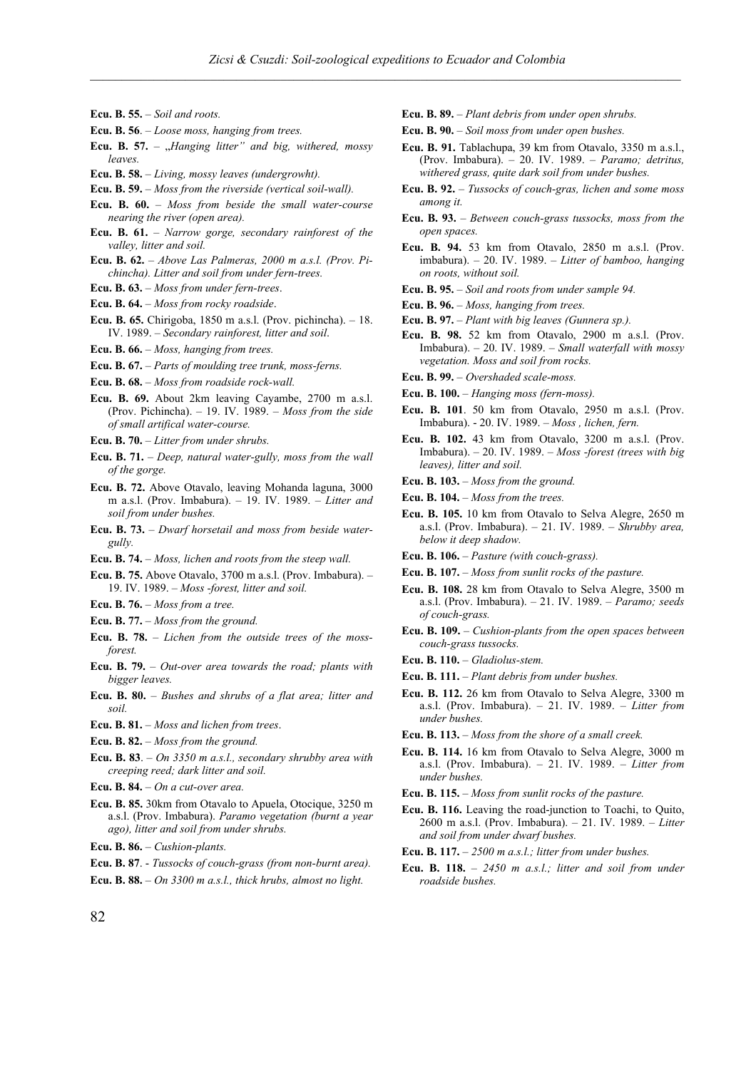- **Ecu. B. 55.** *Soil and roots.*
- **Ecu. B. 56**. *Loose moss, hanging from trees.*
- **Ecu. B.** 57. "*Hanging litter*" and big, withered, mossy *leaves.*
- **Ecu. B. 58.** *Living, mossy leaves (undergrowht).*
- **Ecu. B. 59.** *Moss from the riverside (vertical soil-wall).*
- **Ecu. B. 60.** *Moss from beside the small water-course nearing the river (open area).*
- **Ecu. B. 61.** *Narrow gorge, secondary rainforest of the valley, litter and soil.*
- **Ecu. B. 62.** *Above Las Palmeras, 2000 m a.s.l. (Prov. Pichincha). Litter and soil from under fern-trees.*
- **Ecu. B. 63.** *Moss from under fern-trees*.
- **Ecu. B. 64.** *Moss from rocky roadside*.
- **Ecu. B. 65.** Chirigoba, 1850 m a.s.l. (Prov. pichincha). 18. IV. 1989. – *Secondary rainforest, litter and soil*.
- **Ecu. B. 66.** *Moss, hanging from trees.*
- **Ecu. B. 67.** *Parts of moulding tree trunk, moss-ferns.*

**Ecu. B. 68.** – *Moss from roadside rock-wall.*

- **Ecu. B. 69.** About 2km leaving Cayambe, 2700 m a.s.l. (Prov. Pichincha). – 19. IV. 1989. – *Moss from the side of small artifical water-course.*
- **Ecu. B. 70.** *Litter from under shrubs.*
- **Ecu. B. 71.** *Deep, natural water-gully, moss from the wall of the gorge.*
- **Ecu. B. 72.** Above Otavalo, leaving Mohanda laguna, 3000 m a.s.l. (Prov. Imbabura). – 19. IV. 1989. – *Litter and soil from under bushes.*
- **Ecu. B. 73.** *Dwarf horsetail and moss from beside watergully.*
- **Ecu. B. 74.** *Moss, lichen and roots from the steep wall.*
- **Ecu. B. 75.** Above Otavalo, 3700 m a.s.l. (Prov. Imbabura). 19. IV. 1989. – *Moss -forest, litter and soil.*
- **Ecu. B. 76.** *Moss from a tree.*
- **Ecu. B. 77.** *Moss from the ground.*
- **Ecu. B. 78.** *Lichen from the outside trees of the mossforest.*
- **Ecu. B. 79.** *Out-over area towards the road; plants with bigger leaves.*
- **Ecu. B. 80.** *Bushes and shrubs of a flat area; litter and soil.*
- **Ecu. B. 81.** *Moss and lichen from trees*.
- **Ecu. B. 82.** *Moss from the ground.*
- **Ecu. B. 83**. *On 3350 m a.s.l., secondary shrubby area with creeping reed; dark litter and soil.*
- **Ecu. B. 84.** *On a cut-over area.*
- **Ecu. B. 85.** 30km from Otavalo to Apuela, Otocique, 3250 m a.s.l. (Prov. Imbabura). *Paramo vegetation (burnt a year ago), litter and soil from under shrubs.*
- **Ecu. B. 86.** *Cushion-plants.*
- **Ecu. B. 87**. *Tussocks of couch-grass (from non-burnt area).*
- **Ecu. B. 88.** *On 3300 m a.s.l., thick hrubs, almost no light.*
- **Ecu. B. 89.**  *Plant debris from under open shrubs.*
- **Ecu. B. 90.** *Soil moss from under open bushes.*
- **Ecu. B. 91.** Tablachupa, 39 km from Otavalo, 3350 m a.s.l., (Prov. Imbabura). – 20. IV. 1989. – *Paramo; detritus, withered grass, quite dark soil from under bushes.*
- **Ecu. B. 92.** *Tussocks of couch-gras, lichen and some moss among it.*
- **Ecu. B. 93.** *Between couch-grass tussocks, moss from the open spaces.*
- **Ecu. B. 94.** 53 km from Otavalo, 2850 m a.s.l. (Prov. imbabura). – 20. IV. 1989. – *Litter of bamboo, hanging on roots, without soil.*
- **Ecu. B. 95.** *Soil and roots from under sample 94.*
- **Ecu. B. 96.** *Moss, hanging from trees.*
- **Ecu. B. 97.** *Plant with big leaves (Gunnera sp.).*
- **Ecu. B. 98.** 52 km from Otavalo, 2900 m a.s.l. (Prov. Imbabura). – 20. IV. 1989. – *Small waterfall with mossy vegetation. Moss and soil from rocks.*
- **Ecu. B. 99.** *Overshaded scale-moss.*
- **Ecu. B. 100.** *Hanging moss (fern-moss).*
- **Ecu. B. 101**. 50 km from Otavalo, 2950 m a.s.l. (Prov. Imbabura). - 20. IV. 1989. – *Moss , lichen, fern.*
- **Ecu. B. 102.** 43 km from Otavalo, 3200 m a.s.l. (Prov. Imbabura). – 20. IV. 1989. – *Moss -forest (trees with big leaves), litter and soil.*
- **Ecu. B. 103.** *Moss from the ground.*
- **Ecu. B. 104.** *Moss from the trees.*
- **Ecu. B. 105.** 10 km from Otavalo to Selva Alegre, 2650 m a.s.l. (Prov. Imbabura). – 21. IV. 1989. – *Shrubby area, below it deep shadow.*
- **Ecu. B. 106.** *Pasture (with couch-grass).*
- **Ecu. B. 107.** *Moss from sunlit rocks of the pasture.*
- **Ecu. B. 108.** 28 km from Otavalo to Selva Alegre, 3500 m a.s.l. (Prov. Imbabura). – 21. IV. 1989. – *Paramo; seeds of couch-grass.*
- **Ecu. B. 109.** *Cushion-plants from the open spaces between couch-grass tussocks.*
- **Ecu. B. 110.** *Gladiolus-stem.*
- **Ecu. B. 111.** *Plant debris from under bushes.*
- **Ecu. B. 112.** 26 km from Otavalo to Selva Alegre, 3300 m a.s.l. (Prov. Imbabura). – 21. IV. 1989. – *Litter from under bushes.*
- **Ecu. B. 113.** *Moss from the shore of a small creek.*
- **Ecu. B. 114.** 16 km from Otavalo to Selva Alegre, 3000 m a.s.l. (Prov. Imbabura). – 21. IV. 1989. – *Litter from under bushes.*
- **Ecu. B. 115.**  *Moss from sunlit rocks of the pasture.*
- **Ecu. B. 116.** Leaving the road-junction to Toachi, to Quito, 2600 m a.s.l. (Prov. Imbabura). – 21. IV. 1989. – *Litter and soil from under dwarf bushes.*
- **Ecu. B. 117.** *2500 m a.s.l.; litter from under bushes.*
- **Ecu. B. 118.** *2450 m a.s.l.; litter and soil from under roadside bushes.*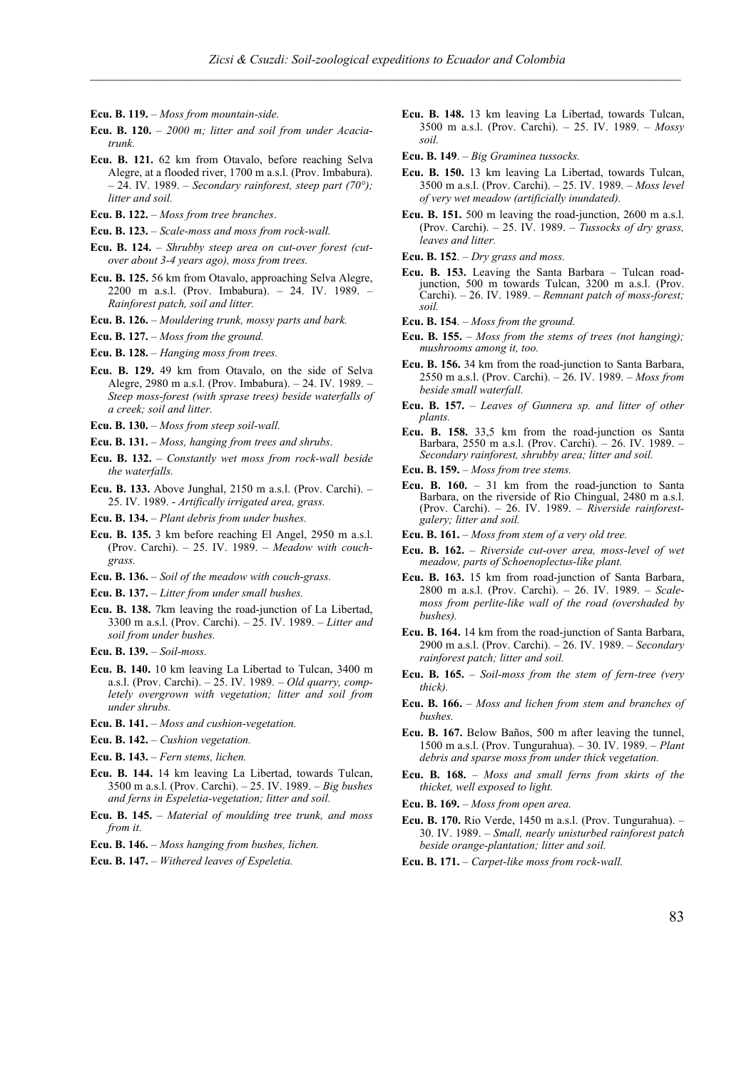- **Ecu. B. 119.**  *Moss from mountain-side.*
- **Ecu. B. 120.** *2000 m; litter and soil from under Acaciatrunk.*
- **Ecu. B. 121.** 62 km from Otavalo, before reaching Selva Alegre, at a flooded river, 1700 m a.s.l. (Prov. Imbabura). – 24. IV. 1989. – *Secondary rainforest, steep part (70°); litter and soil.*
- **Ecu. B. 122.** *Moss from tree branches*.
- **Ecu. B. 123.** *Scale-moss and moss from rock-wall.*
- **Ecu. B. 124.** *Shrubby steep area on cut-over forest (cutover about 3-4 years ago), moss from trees.*
- **Ecu. B. 125.** 56 km from Otavalo, approaching Selva Alegre, 2200 m a.s.l. (Prov. Imbabura). – 24. IV. 1989. – *Rainforest patch, soil and litter.*
- **Ecu. B. 126.** *Mouldering trunk, mossy parts and bark.*
- **Ecu. B. 127.** *Moss from the ground.*
- **Ecu. B. 128.** *Hanging moss from trees.*
- **Ecu. B. 129.** 49 km from Otavalo, on the side of Selva Alegre, 2980 m a.s.l. (Prov. Imbabura). – 24. IV. 1989. – *Steep moss-forest (with sprase trees) beside waterfalls of a creek; soil and litter.*
- **Ecu. B. 130.** *Moss from steep soil-wall.*
- **Ecu. B. 131.** *Moss, hanging from trees and shrubs*.
- **Ecu. B. 132.** *Constantly wet moss from rock-wall beside the waterfalls.*
- **Ecu. B. 133.** Above Junghal, 2150 m a.s.l. (Prov. Carchi). 25. IV. 1989. - *Artifically irrigated area, grass.*
- **Ecu. B. 134.** *Plant debris from under bushes.*
- **Ecu. B. 135.** 3 km before reaching El Angel, 2950 m a.s.l. (Prov. Carchi). – 25. IV. 1989. – *Meadow with couchgrass.*
- **Ecu. B. 136.** *Soil of the meadow with couch-grass.*
- **Ecu. B. 137.** *Litter from under small bushes.*
- **Ecu. B. 138.** 7km leaving the road-junction of La Libertad, 3300 m a.s.l. (Prov. Carchi). – 25. IV. 1989. – *Litter and soil from under bushes.*
- **Ecu. B. 139.** *Soil-moss.*
- **Ecu. B. 140.** 10 km leaving La Libertad to Tulcan, 3400 m a.s.l. (Prov. Carchi). – 25. IV. 1989. – *Old quarry, completely overgrown with vegetation; litter and soil from under shrubs.*
- **Ecu. B. 141.** *Moss and cushion-vegetation.*
- **Ecu. B. 142.** *Cushion vegetation.*
- **Ecu. B. 143.** *Fern stems, lichen.*
- **Ecu. B. 144.** 14 km leaving La Libertad, towards Tulcan, 3500 m a.s.l. (Prov. Carchi). – 25. IV. 1989. – *Big bushes and ferns in Espeletia-vegetation; litter and soil.*
- **Ecu. B. 145.** *Material of moulding tree trunk, and moss from it.*
- **Ecu. B. 146.** *Moss hanging from bushes, lichen.*
- **Ecu. B. 147.** *Withered leaves of Espeletia.*
- **Ecu. B. 148.** 13 km leaving La Libertad, towards Tulcan, 3500 m a.s.l. (Prov. Carchi). – 25. IV. 1989. – *Mossy soil.*
- **Ecu. B. 149**. *Big Graminea tussocks.*
- **Ecu. B. 150.** 13 km leaving La Libertad, towards Tulcan, 3500 m a.s.l. (Prov. Carchi). – 25. IV. 1989. – *Moss level of very wet meadow (artificially inundated).*
- **Ecu. B. 151.** 500 m leaving the road-junction, 2600 m a.s.l. (Prov. Carchi). – 25. IV. 1989. – *Tussocks of dry grass, leaves and litter.*
- **Ecu. B. 152**. *Dry grass and moss.*
- **Ecu. B. 153.** Leaving the Santa Barbara Tulcan roadjunction, 500 m towards Tulcan, 3200 m a.s.l. (Prov. Carchi). – 26. IV. 1989. – *Remnant patch of moss-forest; soil.*
- **Ecu. B. 154**. *Moss from the ground.*
- **Ecu. B. 155.** *Moss from the stems of trees (not hanging); mushrooms among it, too.*
- **Ecu. B. 156.** 34 km from the road-junction to Santa Barbara, 2550 m a.s.l. (Prov. Carchi). – 26. IV. 1989. – *Moss from beside small waterfall.*
- **Ecu. B. 157.** *Leaves of Gunnera sp. and litter of other plants.*
- **Ecu. B. 158.** 33,5 km from the road-junction os Santa Barbara, 2550 m a.s.l. (Prov. Carchi). – 26. IV. 1989. – *Secondary rainforest, shrubby area; litter and soil.*
- **Ecu. B. 159.** *Moss from tree stems.*
- **Ecu. B. 160.** 31 km from the road-junction to Santa Barbara, on the riverside of Rio Chingual, 2480 m a.s.l. (Prov. Carchi). – 26. IV. 1989. – *Riverside rainforestgalery; litter and soil.*
- **Ecu. B. 161.** *Moss from stem of a very old tree.*
- **Ecu. B. 162.** *Riverside cut-over area, moss-level of wet meadow, parts of Schoenoplectus-like plant.*
- **Ecu. B. 163.** 15 km from road-junction of Santa Barbara, 2800 m a.s.l. (Prov. Carchi). – 26. IV. 1989. – *Scalemoss from perlite-like wall of the road (overshaded by bushes).*
- **Ecu. B. 164.** 14 km from the road-junction of Santa Barbara, 2900 m a.s.l. (Prov. Carchi). – 26. IV. 1989. – *Secondary rainforest patch; litter and soil.*
- **Ecu. B. 165.** *Soil-moss from the stem of fern-tree (very thick).*
- **Ecu. B. 166.** *Moss and lichen from stem and branches of bushes.*
- **Ecu. B. 167.** Below Baños, 500 m after leaving the tunnel, 1500 m a.s.l. (Prov. Tungurahua). – 30. IV. 1989. – *Plant debris and sparse moss from under thick vegetation.*
- **Ecu. B. 168.** *Moss and small ferns from skirts of the thicket, well exposed to light.*
- **Ecu. B. 169.** *Moss from open area.*
- **Ecu. B. 170.** Rio Verde, 1450 m a.s.l. (Prov. Tungurahua). 30. IV. 1989. – *Small, nearly unisturbed rainforest patch beside orange-plantation; litter and soil.*
- **Ecu. B. 171.** *Carpet-like moss from rock-wall.*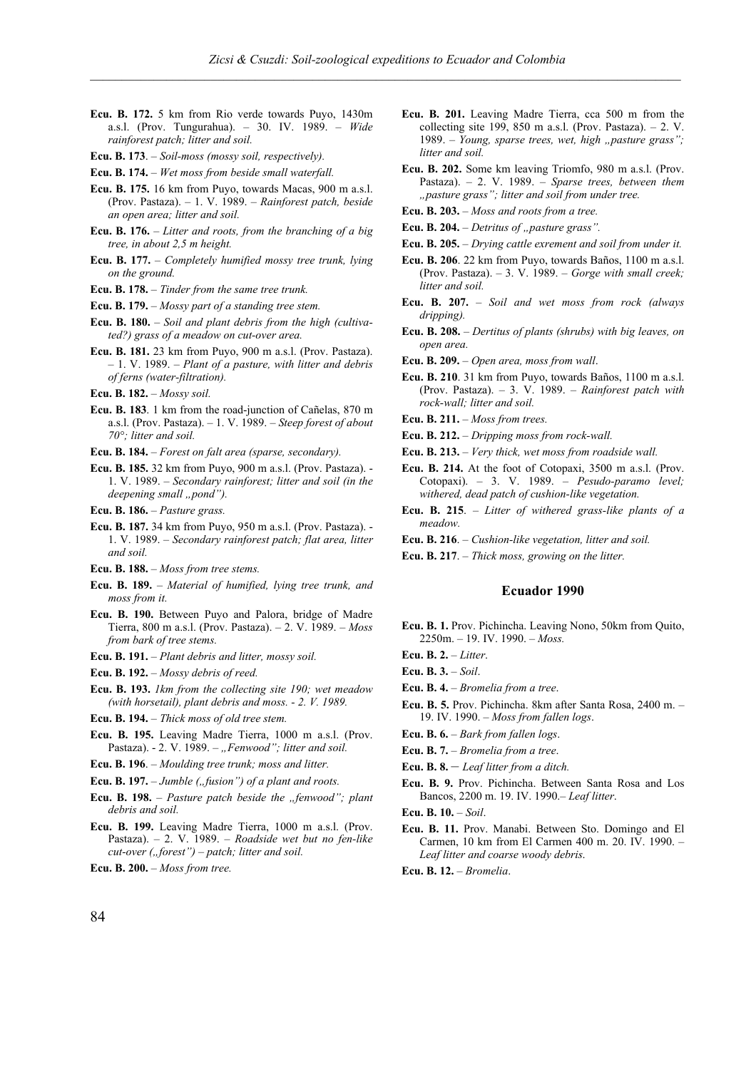- **Ecu. B. 172.** 5 km from Rio verde towards Puyo, 1430m a.s.l. (Prov. Tungurahua). – 30. IV. 1989. – *Wide rainforest patch; litter and soil.*
- **Ecu. B. 173**. *Soil-moss (mossy soil, respectively).*

**Ecu. B. 174.** – *Wet moss from beside small waterfall.*

- **Ecu. B. 175.** 16 km from Puyo, towards Macas, 900 m a.s.l. (Prov. Pastaza). – 1. V. 1989. – *Rainforest patch, beside an open area; litter and soil.*
- **Ecu. B. 176.** *Litter and roots, from the branching of a big tree, in about 2,5 m height.*
- **Ecu. B. 177.** *Completely humified mossy tree trunk, lying on the ground.*
- **Ecu. B. 178.**  *Tinder from the same tree trunk.*
- **Ecu. B. 179.** *Mossy part of a standing tree stem.*
- **Ecu. B. 180.** *Soil and plant debris from the high (cultivated?) grass of a meadow on cut-over area.*
- **Ecu. B. 181.** 23 km from Puyo, 900 m a.s.l. (Prov. Pastaza). – 1. V. 1989. – *Plant of a pasture, with litter and debris of ferns (water-filtration).*
- **Ecu. B. 182.** *Mossy soil.*
- **Ecu. B. 183**. 1 km from the road-junction of Cañelas, 870 m a.s.l. (Prov. Pastaza). – 1. V. 1989. – *Steep forest of about 70°; litter and soil.*
- **Ecu. B. 184.** *Forest on falt area (sparse, secondary).*
- **Ecu. B. 185.** 32 km from Puyo, 900 m a.s.l. (Prov. Pastaza). 1. V. 1989. – *Secondary rainforest; litter and soil (in the deepening small "pond"*).
- **Ecu. B. 186.** *Pasture grass.*
- **Ecu. B. 187.** 34 km from Puyo, 950 m a.s.l. (Prov. Pastaza). 1. V. 1989. – *Secondary rainforest patch; flat area, litter and soil.*
- **Ecu. B. 188.** *Moss from tree stems.*
- **Ecu. B. 189.** *Material of humified, lying tree trunk, and moss from it.*
- **Ecu. B. 190.** Between Puyo and Palora, bridge of Madre Tierra, 800 m a.s.l. (Prov. Pastaza). – 2. V. 1989. – *Moss from bark of tree stems.*
- **Ecu. B. 191.** *Plant debris and litter, mossy soil.*
- **Ecu. B. 192.** *Mossy debris of reed.*
- **Ecu. B. 193.** *1km from the collecting site 190; wet meadow (with horsetail), plant debris and moss. - 2. V. 1989.*
- **Ecu. B. 194.** *Thick moss of old tree stem.*
- **Ecu. B. 195.** Leaving Madre Tierra, 1000 m a.s.l. (Prov. Pastaza). - 2. V. 1989. - "Fenwood"; litter and soil.
- **Ecu. B. 196**. *Moulding tree trunk; moss and litter.*
- Ecu. B. 197. *Jumble ("fusion") of a plant and roots.*
- **Ecu. B. 198.** *Pasture patch beside the "fenwood"; plant debris and soil.*
- **Ecu. B. 199.** Leaving Madre Tierra, 1000 m a.s.l. (Prov. Pastaza). – 2. V. 1989. – *Roadside wet but no fen-like cut-over* ("*forest*") – patch; litter and soil.
- **Ecu. B. 200.** *Moss from tree.*
- **Ecu. B. 201.** Leaving Madre Tierra, cca 500 m from the collecting site 199, 850 m a.s.l. (Prov. Pastaza).  $-2$ . V. 1989. – *Young, sparse trees, wet, high "pasture grass"; litter and soil.*
- **Ecu. B. 202.** Some km leaving Triomfo, 980 m a.s.l. (Prov. Pastaza). – 2. V. 1989. – *Sparse trees, between them "pasture grass"; litter and soil from under tree.*
- **Ecu. B. 203.** *Moss and roots from a tree.*
- Ecu. B. 204. *Detritus of "pasture grass"*.
- **Ecu. B. 205.** *Drying cattle exrement and soil from under it.*
- **Ecu. B. 206**. 22 km from Puyo, towards Baños, 1100 m a.s.l. (Prov. Pastaza). – 3. V. 1989. – *Gorge with small creek; litter and soil.*
- **Ecu. B. 207.** *Soil and wet moss from rock (always dripping).*
- **Ecu. B. 208.** *Dertitus of plants (shrubs) with big leaves, on open area.*
- **Ecu. B. 209.** *Open area, moss from wall*.
- **Ecu. B. 210**. 31 km from Puyo, towards Baños, 1100 m a.s.l. (Prov. Pastaza). – 3. V. 1989. – *Rainforest patch with rock-wall; litter and soil.*
- **Ecu. B. 211.** *Moss from trees.*
- **Ecu. B. 212.** *Dripping moss from rock-wall.*
- **Ecu. B. 213.** *Very thick, wet moss from roadside wall.*
- **Ecu. B. 214.** At the foot of Cotopaxi, 3500 m a.s.l. (Prov. Cotopaxi). – 3. V. 1989. – *Pesudo-paramo level; withered, dead patch of cushion-like vegetation.*
- **Ecu. B. 215**. *Litter of withered grass-like plants of a meadow.*
- **Ecu. B. 216**. *Cushion-like vegetation, litter and soil.*
- **Ecu. B. 217**. *Thick moss, growing on the litter.*

- **Ecu. B. 1.** Prov. Pichincha. Leaving Nono, 50km from Quito, 2250m. – 19. IV. 1990. – *Moss.*
- **Ecu. B. 2.** *Litter*.
- **Ecu. B. 3.** *Soil*.
- **Ecu. B. 4.** *Bromelia from a tree*.
- **Ecu. B. 5.** Prov. Pichincha. 8km after Santa Rosa, 2400 m. 19. IV. 1990. – *Moss from fallen logs*.
- **Ecu. B. 6.** *Bark from fallen logs*.
- **Ecu. B. 7.** *Bromelia from a tree*.
- **Ecu. B. 8.**  *Leaf litter from a ditch.*
- **Ecu. B. 9.** Prov. Pichincha. Between Santa Rosa and Los Bancos, 2200 m. 19. IV. 1990.– *Leaf litter*.
- **Ecu. B. 10.** *Soil*.
- **Ecu. B. 11.** Prov. Manabi. Between Sto. Domingo and El Carmen, 10 km from El Carmen 400 m. 20. IV. 1990. – *Leaf litter and coarse woody debris*.
- **Ecu. B. 12.** *Bromelia*.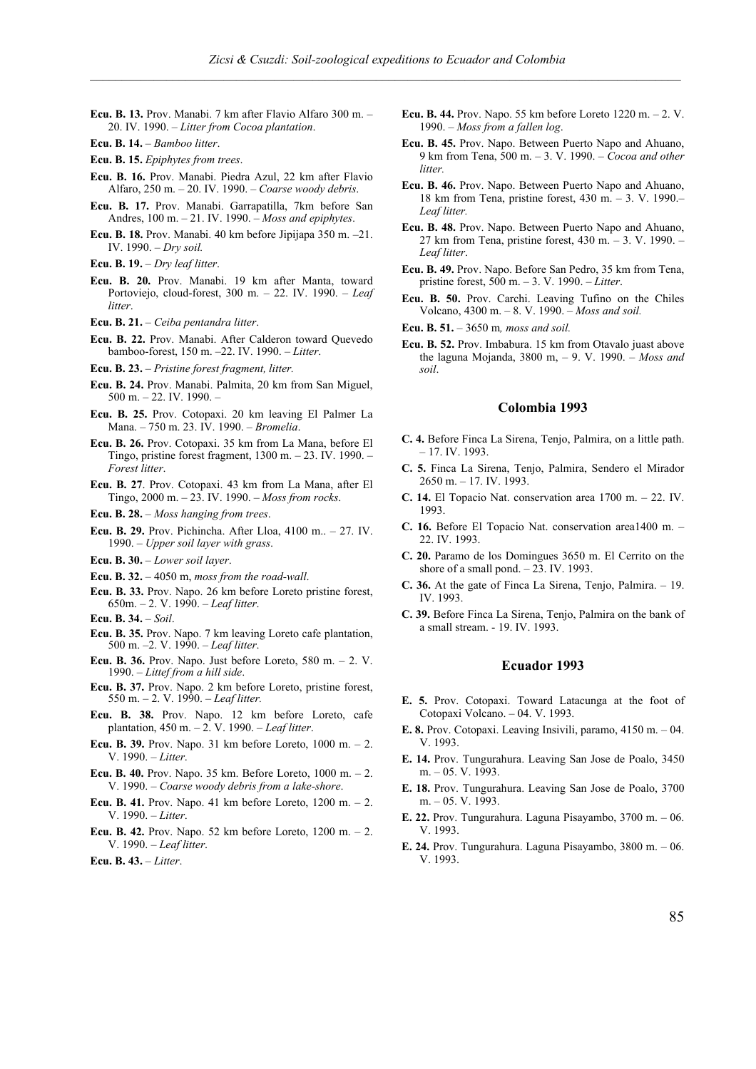- **Ecu. B. 13.** Prov. Manabi. 7 km after Flavio Alfaro 300 m. 20. IV. 1990. – *Litter from Cocoa plantation*.
- **Ecu. B. 14.** *Bamboo litter*.
- **Ecu. B. 15.** *Epiphytes from trees*.
- **Ecu. B. 16.** Prov. Manabi. Piedra Azul, 22 km after Flavio Alfaro, 250 m. – 20. IV. 1990. – *Coarse woody debris*.
- **Ecu. B. 17.** Prov. Manabi. Garrapatilla, 7km before San Andres, 100 m. – 21. IV. 1990. – *Moss and epiphytes*.
- **Ecu. B. 18.** Prov. Manabi. 40 km before Jipijapa 350 m. –21. IV. 1990. – *Dry soil.*
- **Ecu. B. 19.** *Dry leaf litter*.
- **Ecu. B. 20.** Prov. Manabi. 19 km after Manta, toward Portoviejo, cloud-forest, 300 m. – 22. IV. 1990. – *Leaf litter*.
- **Ecu. B. 21.** *Ceiba pentandra litter*.
- **Ecu. B. 22.** Prov. Manabi. After Calderon toward Quevedo bamboo-forest, 150 m. –22. IV. 1990. – *Litter*.
- **Ecu. B. 23.** *Pristine forest fragment, litter.*
- **Ecu. B. 24.** Prov. Manabi. Palmita, 20 km from San Miguel, 500 m. – 22. IV. 1990. –
- **Ecu. B. 25.** Prov. Cotopaxi. 20 km leaving El Palmer La Mana. – 750 m. 23. IV. 1990. – *Bromelia*.
- **Ecu. B. 26.** Prov. Cotopaxi. 35 km from La Mana, before El Tingo, pristine forest fragment, 1300 m. – 23. IV. 1990. – *Forest litter*.
- **Ecu. B. 27**. Prov. Cotopaxi. 43 km from La Mana, after El Tingo, 2000 m. – 23. IV. 1990. – *Moss from rocks*.
- **Ecu. B. 28.** *Moss hanging from trees*.
- **Ecu. B. 29.** Prov. Pichincha. After Lloa, 4100 m.. 27. IV. 1990. – *Upper soil layer with grass*.
- **Ecu. B. 30.** *Lower soil layer*.
- **Ecu. B. 32.** 4050 m, *moss from the road-wall*.
- **Ecu. B. 33.** Prov. Napo. 26 km before Loreto pristine forest, 650m. – 2. V. 1990. – *Leaf litter*.
- **Ecu. B. 34.** *Soil*.
- **Ecu. B. 35.** Prov. Napo. 7 km leaving Loreto cafe plantation, 500 m. –2. V. 1990. – *Leaf litter*.
- **Ecu. B. 36.** Prov. Napo. Just before Loreto, 580 m. 2. V. 1990. – *Littef from a hill side*.
- **Ecu. B. 37.** Prov. Napo. 2 km before Loreto, pristine forest, 550 m. – 2. V. 1990. – *Leaf litter.*
- **Ecu. B. 38.** Prov. Napo. 12 km before Loreto, cafe plantation, 450 m. – 2. V. 1990. – *Leaf litter*.
- **Ecu. B. 39.** Prov. Napo. 31 km before Loreto, 1000 m. 2. V. 1990. – *Litter*.
- **Ecu. B. 40.** Prov. Napo. 35 km. Before Loreto, 1000 m. 2. V. 1990. – *Coarse woody debris from a lake-shore*.
- **Ecu. B. 41.** Prov. Napo. 41 km before Loreto, 1200 m. 2. V. 1990. – *Litter*.
- **Ecu. B. 42.** Prov. Napo. 52 km before Loreto, 1200 m. 2. V. 1990. – *Leaf litter*.
- **Ecu. B. 43.** *Litter*.
- **Ecu. B. 44.** Prov. Napo. 55 km before Loreto 1220 m. 2. V. 1990. – *Moss from a fallen log*.
- **Ecu. B. 45.** Prov. Napo. Between Puerto Napo and Ahuano, 9 km from Tena, 500 m. – 3. V. 1990. – *Cocoa and other litter.*
- **Ecu. B. 46.** Prov. Napo. Between Puerto Napo and Ahuano, 18 km from Tena, pristine forest, 430 m. – 3. V. 1990.– *Leaf litter.*
- **Ecu. B. 48.** Prov. Napo. Between Puerto Napo and Ahuano, 27 km from Tena, pristine forest, 430 m. – 3. V. 1990. – *Leaf litter*.
- **Ecu. B. 49.** Prov. Napo. Before San Pedro, 35 km from Tena, pristine forest, 500 m. – 3. V. 1990. – *Litter*.
- **Ecu. B. 50.** Prov. Carchi. Leaving Tufino on the Chiles Volcano, 4300 m. – 8. V. 1990. – *Moss and soil.*
- **Ecu. B. 51.** 3650 m*, moss and soil.*
- **Ecu. B. 52.** Prov. Imbabura. 15 km from Otavalo juast above the laguna Mojanda, 3800 m, – 9. V. 1990. – *Moss and soil*.

## **Colombia 1993**

- **C. 4.** Before Finca La Sirena, Tenjo, Palmira, on a little path. – 17. IV. 1993.
- **C. 5.** Finca La Sirena, Tenjo, Palmira, Sendero el Mirador 2650 m. – 17. IV. 1993.
- **C. 14.** El Topacio Nat. conservation area 1700 m. 22. IV. 1993.
- **C. 16.** Before El Topacio Nat. conservation area1400 m. 22. IV. 1993.
- **C. 20.** Paramo de los Domingues 3650 m. El Cerrito on the shore of a small pond. - 23. IV. 1993.
- **C. 36.** At the gate of Finca La Sirena, Tenjo, Palmira. 19. IV. 1993.
- **C. 39.** Before Finca La Sirena, Tenjo, Palmira on the bank of a small stream. - 19. IV. 1993.

- **E. 5.** Prov. Cotopaxi. Toward Latacunga at the foot of Cotopaxi Volcano. – 04. V. 1993.
- **E. 8.** Prov. Cotopaxi. Leaving Insivili, paramo, 4150 m. 04. V. 1993.
- **E. 14.** Prov. Tungurahura. Leaving San Jose de Poalo, 3450 m. – 05. V. 1993.
- **E. 18.** Prov. Tungurahura. Leaving San Jose de Poalo, 3700 m. – 05. V. 1993.
- **E. 22.** Prov. Tungurahura. Laguna Pisayambo, 3700 m. 06. V. 1993.
- **E. 24.** Prov. Tungurahura. Laguna Pisayambo, 3800 m. 06. V. 1993.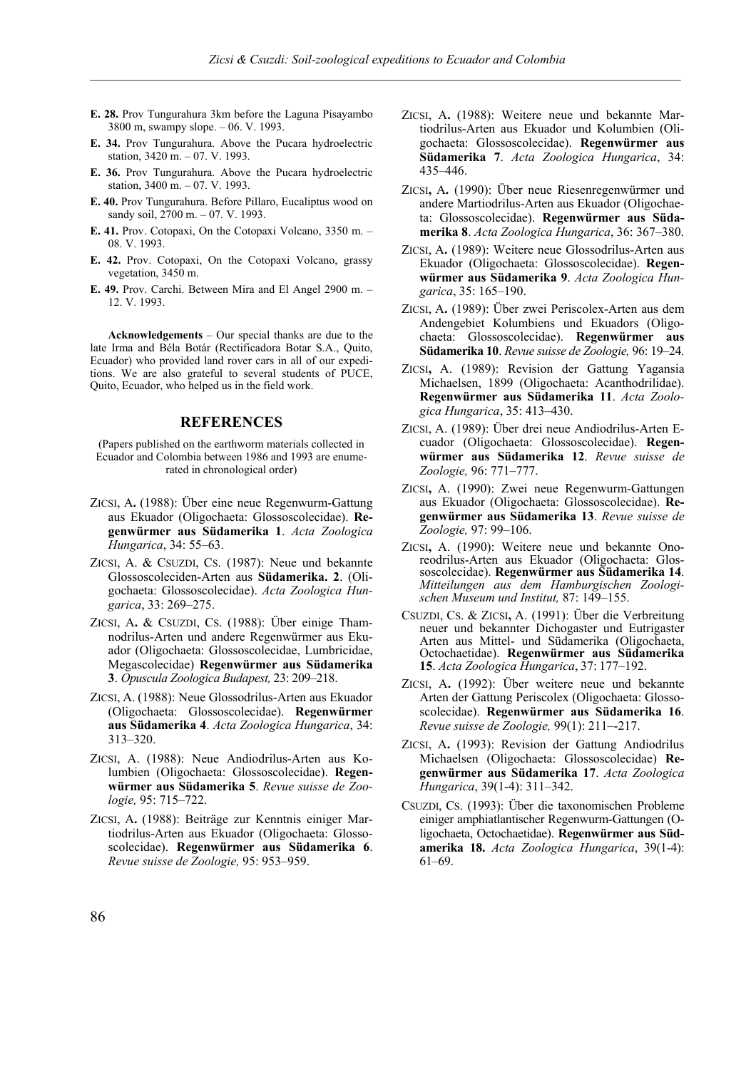- **E. 28.** Prov Tungurahura 3km before the Laguna Pisayambo 3800 m, swampy slope. – 06. V. 1993.
- **E. 34.** Prov Tungurahura. Above the Pucara hydroelectric station, 3420 m. – 07. V. 1993.
- **E. 36.** Prov Tungurahura. Above the Pucara hydroelectric station, 3400 m. – 07. V. 1993.
- **E. 40.** Prov Tungurahura. Before Pillaro, Eucaliptus wood on sandy soil, 2700 m. - 07. V. 1993.
- **E. 41.** Prov. Cotopaxi, On the Cotopaxi Volcano, 3350 m. 08. V. 1993.
- **E. 42.** Prov. Cotopaxi, On the Cotopaxi Volcano, grassy vegetation, 3450 m.
- **E. 49.** Prov. Carchi. Between Mira and El Angel 2900 m. 12. V. 1993.

**Acknowledgements** – Our special thanks are due to the late Irma and Béla Botár (Rectificadora Botar S.A., Quito, Ecuador) who provided land rover cars in all of our expeditions. We are also grateful to several students of PUCE, Quito, Ecuador, who helped us in the field work.

# **REFERENCES**

(Papers published on the earthworm materials collected in Ecuador and Colombia between 1986 and 1993 are enumerated in chronological order)

- ZICSI, A**.** (1988): Über eine neue Regenwurm-Gattung aus Ekuador (Oligochaeta: Glossoscolecidae). **Regenwürmer aus Südamerika 1**. *Acta Zoologica Hungarica*, 34: 55–63.
- ZICSI, A. & CSUZDI, CS. (1987): Neue und bekannte Glossoscoleciden-Arten aus **Südamerika. 2**. (Oligochaeta: Glossoscolecidae). *Acta Zoologica Hungarica*, 33: 269–275.
- ZICSI, A**.** & CSUZDI, CS. (1988): Über einige Thamnodrilus-Arten und andere Regenwürmer aus Ekuador (Oligochaeta: Glossoscolecidae, Lumbricidae, Megascolecidae) **Regenwürmer aus Südamerika 3**. *Opuscula Zoologica Budapest,* 23: 209–218.
- ZICSI, A. (1988): Neue Glossodrilus-Arten aus Ekuador (Oligochaeta: Glossoscolecidae). **Regenwürmer aus Südamerika 4**. *Acta Zoologica Hungarica*, 34: 313–320.
- ZICSI, A. (1988): Neue Andiodrilus-Arten aus Kolumbien (Oligochaeta: Glossoscolecidae). **Regenwürmer aus Südamerika 5**. *Revue suisse de Zoologie,* 95: 715–722.
- ZICSI, A**.** (1988): Beiträge zur Kenntnis einiger Martiodrilus-Arten aus Ekuador (Oligochaeta: Glossoscolecidae). **Regenwürmer aus Südamerika 6**. *Revue suisse de Zoologie,* 95: 953–959.
- ZICSI, A**.** (1988): Weitere neue und bekannte Martiodrilus-Arten aus Ekuador und Kolumbien (Oligochaeta: Glossoscolecidae). **Regenwürmer aus Südamerika 7**. *Acta Zoologica Hungarica*, 34: 435–446.
- ZICSI**,** A**.** (1990): Über neue Riesenregenwürmer und andere Martiodrilus-Arten aus Ekuador (Oligochaeta: Glossoscolecidae). **Regenwürmer aus Südamerika 8**. *Acta Zoologica Hungarica*, 36: 367–380.
- ZICSI, A**.** (1989): Weitere neue Glossodrilus-Arten aus Ekuador (Oligochaeta: Glossoscolecidae). **Regenwürmer aus Südamerika 9**. *Acta Zoologica Hungarica*, 35: 165–190.
- ZICSI, A**.** (1989): Über zwei Periscolex-Arten aus dem Andengebiet Kolumbiens und Ekuadors (Oligochaeta: Glossoscolecidae). **Regenwürmer aus Südamerika 10**. *Revue suisse de Zoologie,* 96: 19–24.
- ZICSI**,** A. (1989): Revision der Gattung Yagansia Michaelsen, 1899 (Oligochaeta: Acanthodrilidae). **Regenwürmer aus Südamerika 11**. *Acta Zoologica Hungarica*, 35: 413–430.
- ZICSI, A. (1989): Über drei neue Andiodrilus-Arten Ecuador (Oligochaeta: Glossoscolecidae). **Regenwürmer aus Südamerika 12**. *Revue suisse de Zoologie,* 96: 771–777.
- ZICSI**,** A. (1990): Zwei neue Regenwurm-Gattungen aus Ekuador (Oligochaeta: Glossoscolecidae). **Regenwürmer aus Südamerika 13**. *Revue suisse de Zoologie,* 97: 99–106.
- ZICSI**,** A. (1990): Weitere neue und bekannte Onoreodrilus-Arten aus Ekuador (Oligochaeta: Glossoscolecidae). **Regenwürmer aus Südamerika 14**. *Mitteilungen aus dem Hamburgischen Zoologischen Museum und Institut,* 87: 149–155.
- CSUZDI, CS. & ZICSI**,** A. (1991): Über die Verbreitung neuer und bekannter Dichogaster und Eutrigaster Arten aus Mittel- und Südamerika (Oligochaeta, Octochaetidae). **Regenwürmer aus Südamerika 15**. *Acta Zoologica Hungarica*, 37: 177–192.
- ZICSI, A**.** (1992): Über weitere neue und bekannte Arten der Gattung Periscolex (Oligochaeta: Glossoscolecidae). **Regenwürmer aus Südamerika 16**. *Revue suisse de Zoologie,* 99(1): 211–-217.
- ZICSI, A**.** (1993): Revision der Gattung Andiodrilus Michaelsen (Oligochaeta: Glossoscolecidae) **Regenwürmer aus Südamerika 17**. *Acta Zoologica Hungarica*, 39(1-4): 311–342.
- CSUZDI, CS. (1993): Über die taxonomischen Probleme einiger amphiatlantischer Regenwurm-Gattungen (Oligochaeta, Octochaetidae). **Regenwürmer aus Südamerika 18.** *Acta Zoologica Hungarica*, 39(1-4): 61–69.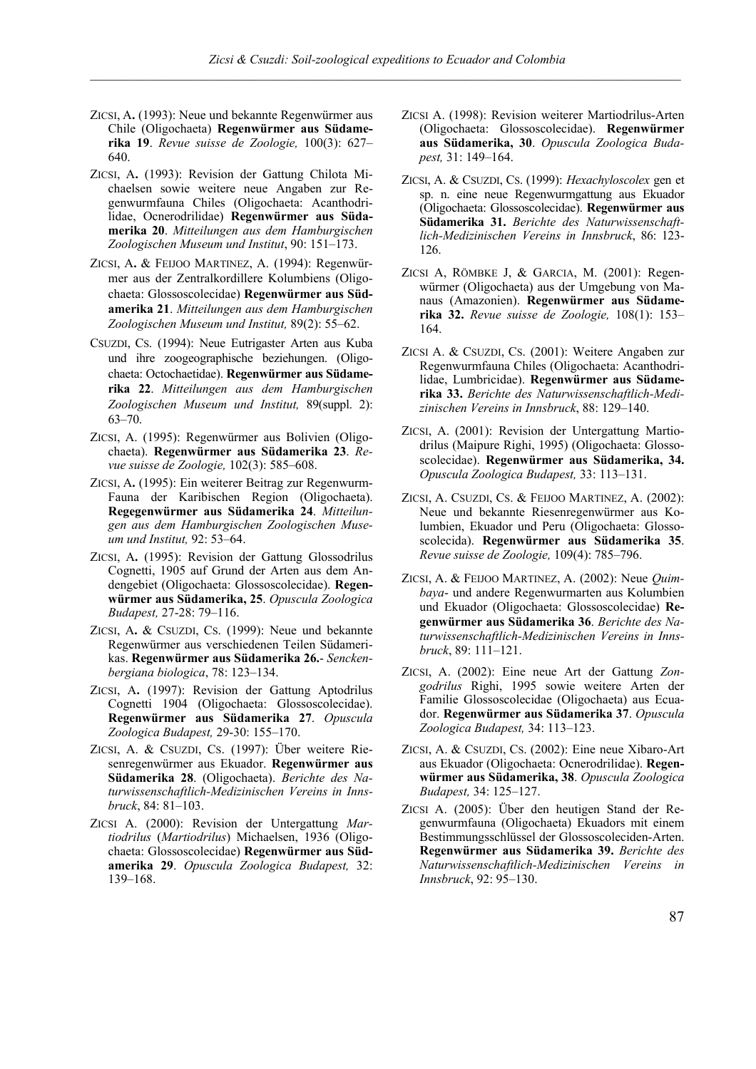- ZICSI, A**.** (1993): Neue und bekannte Regenwürmer aus Chile (Oligochaeta) **Regenwürmer aus Südamerika 19**. *Revue suisse de Zoologie,* 100(3): 627– 640.
- ZICSI, A**.** (1993): Revision der Gattung Chilota Michaelsen sowie weitere neue Angaben zur Regenwurmfauna Chiles (Oligochaeta: Acanthodrilidae, Ocnerodrilidae) **Regenwürmer aus Südamerika 20**. *Mitteilungen aus dem Hamburgischen Zoologischen Museum und Institut*, 90: 151–173.
- ZICSI, A**.** & FEIJOO MARTINEZ, A. (1994): Regenwürmer aus der Zentralkordillere Kolumbiens (Oligochaeta: Glossoscolecidae) **Regenwürmer aus Südamerika 21**. *Mitteilungen aus dem Hamburgischen Zoologischen Museum und Institut,* 89(2): 55–62.
- CSUZDI, CS. (1994): Neue Eutrigaster Arten aus Kuba und ihre zoogeographische beziehungen. (Oligochaeta: Octochaetidae). **Regenwürmer aus Südamerika 22**. *Mitteilungen aus dem Hamburgischen Zoologischen Museum und Institut,* 89(suppl. 2): 63–70.
- ZICSI, A. (1995): Regenwürmer aus Bolivien (Oligochaeta). **Regenwürmer aus Südamerika 23**. *Revue suisse de Zoologie,* 102(3): 585–608.
- ZICSI, A**.** (1995): Ein weiterer Beitrag zur Regenwurm-Fauna der Karibischen Region (Oligochaeta). **Regegenwürmer aus Südamerika 24**. *Mitteilungen aus dem Hamburgischen Zoologischen Museum und Institut,* 92: 53–64.
- ZICSI, A**.** (1995): Revision der Gattung Glossodrilus Cognetti, 1905 auf Grund der Arten aus dem Andengebiet (Oligochaeta: Glossoscolecidae). **Regenwürmer aus Südamerika, 25**. *Opuscula Zoologica Budapest,* 27-28: 79–116.
- ZICSI, A**.** & CSUZDI, CS. (1999): Neue und bekannte Regenwürmer aus verschiedenen Teilen Südamerikas. **Regenwürmer aus Südamerika 26.**- *Senckenbergiana biologica*, 78: 123–134.
- ZICSI, A**.** (1997): Revision der Gattung Aptodrilus Cognetti 1904 (Oligochaeta: Glossoscolecidae). **Regenwürmer aus Südamerika 27**. *Opuscula Zoologica Budapest,* 29-30: 155–170.
- ZICSI, A. & CSUZDI, CS. (1997): Über weitere Riesenregenwürmer aus Ekuador. **Regenwürmer aus Südamerika 28**. (Oligochaeta). *Berichte des Naturwissenschaftlich-Medizinischen Vereins in Innsbruck*, 84: 81–103.
- ZICSI A. (2000): Revision der Untergattung *Martiodrilus* (*Martiodrilus*) Michaelsen, 1936 (Oligochaeta: Glossoscolecidae) **Regenwürmer aus Südamerika 29**. *Opuscula Zoologica Budapest,* 32: 139–168.
- ZICSI A. (1998): Revision weiterer Martiodrilus-Arten (Oligochaeta: Glossoscolecidae). **Regenwürmer aus Südamerika, 30**. *Opuscula Zoologica Budapest,* 31: 149–164.
- ZICSI, A. & CSUZDI, CS. (1999): *Hexachyloscolex* gen et sp. n. eine neue Regenwurmgattung aus Ekuador (Oligochaeta: Glossoscolecidae). **Regenwürmer aus Südamerika 31.** *Berichte des Naturwissenschaftlich-Medizinischen Vereins in Innsbruck*, 86: 123- 126.
- ZICSI A, RÖMBKE J, & GARCIA, M. (2001): Regenwürmer (Oligochaeta) aus der Umgebung von Manaus (Amazonien). **Regenwürmer aus Südamerika 32.** *Revue suisse de Zoologie,* 108(1): 153– 164.
- ZICSI A. & CSUZDI, CS. (2001): Weitere Angaben zur Regenwurmfauna Chiles (Oligochaeta: Acanthodrilidae, Lumbricidae). **Regenwürmer aus Südamerika 33.** *Berichte des Naturwissenschaftlich-Medizinischen Vereins in Innsbruck*, 88: 129–140.
- ZICSI, A. (2001): Revision der Untergattung Martiodrilus (Maipure Righi, 1995) (Oligochaeta: Glossoscolecidae). **Regenwürmer aus Südamerika, 34.** *Opuscula Zoologica Budapest,* 33: 113–131.
- ZICSI, A. CSUZDI, CS. & FEIJOO MARTINEZ, A. (2002): Neue und bekannte Riesenregenwürmer aus Kolumbien, Ekuador und Peru (Oligochaeta: Glossoscolecida). **Regenwürmer aus Südamerika 35**. *Revue suisse de Zoologie,* 109(4): 785–796.
- ZICSI, A. & FEIJOO MARTINEZ, A. (2002): Neue *Quimbaya*- und andere Regenwurmarten aus Kolumbien und Ekuador (Oligochaeta: Glossoscolecidae) **Regenwürmer aus Südamerika 36**. *Berichte des Naturwissenschaftlich-Medizinischen Vereins in Innsbruck*, 89: 111–121.
- ZICSI, A. (2002): Eine neue Art der Gattung *Zongodrilus* Righi, 1995 sowie weitere Arten der Familie Glossoscolecidae (Oligochaeta) aus Ecuador. **Regenwürmer aus Südamerika 37**. *Opuscula Zoologica Budapest,* 34: 113–123.
- ZICSI, A. & CSUZDI, CS. (2002): Eine neue Xibaro-Art aus Ekuador (Oligochaeta: Ocnerodrilidae). **Regenwürmer aus Südamerika, 38**. *Opuscula Zoologica Budapest,* 34: 125–127.
- ZICSI A. (2005): Über den heutigen Stand der Regenwurmfauna (Oligochaeta) Ekuadors mit einem Bestimmungsschlüssel der Glossoscoleciden-Arten. **Regenwürmer aus Südamerika 39.** *Berichte des Naturwissenschaftlich-Medizinischen Vereins in Innsbruck*, 92: 95–130.